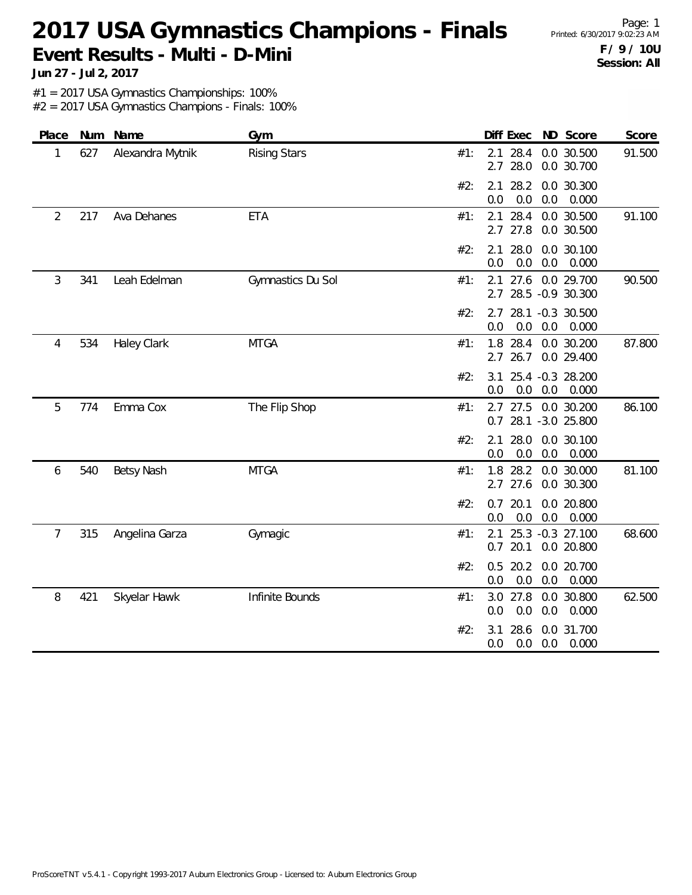Page: 1 **F / 9 / 10U Session: All**

**Jun 27 - Jul 2, 2017**

#1 = 2017 USA Gymnastics Championships: 100%

| Place          |     | Num Name           | Gym                 |                   | Diff Exec ND Score                           | Score           |
|----------------|-----|--------------------|---------------------|-------------------|----------------------------------------------|-----------------|
| 1              | 627 | Alexandra Mytnik   | <b>Rising Stars</b> | 2.1<br>#1:<br>2.7 | 28.4<br>0.0 30.500<br>28.0<br>0.0 30.700     | 91.500          |
|                |     |                    |                     | 2.1<br>#2:<br>0.0 | 28.2<br>0.0 30.300<br>0.0<br>0.0             | 0.000           |
| $\overline{2}$ | 217 | Ava Dehanes        | <b>ETA</b>          | 2.1<br>#1:<br>2.7 | 28.4<br>0.0 30.500<br>27.8<br>0.0 30.500     | 91.100          |
|                |     |                    |                     | 2.1<br>#2:<br>0.0 | 28.0<br>0.0<br>0.0<br>0.0                    | 30.100<br>0.000 |
| 3              | 341 | Leah Edelman       | Gymnastics Du Sol   | 2.1<br>#1:<br>2.7 | 27.6<br>0.0 29.700<br>28.5 -0.9 30.300       | 90.500          |
|                |     |                    |                     | #2:<br>2.7<br>0.0 | 28.1 -0.3 30.500<br>0.0<br>0.0               | 0.000           |
| 4              | 534 | <b>Haley Clark</b> | <b>MTGA</b>         | 1.8<br>#1:<br>2.7 | 28.4<br>0.0 30.200<br>26.7<br>0.0 29.400     | 87.800          |
|                |     |                    |                     | #2:<br>3.1<br>0.0 | 25.4 -0.3 28.200<br>0.0<br>0.0               | 0.000           |
| 5              | 774 | Emma Cox           | The Flip Shop       | #1:<br>0.7        | $2.7$ 27.5<br>0.0 30.200<br>28.1 -3.0 25.800 | 86.100          |
|                |     |                    |                     | #2:<br>2.1<br>0.0 | 28.0<br>0.0 30.100<br>0.0<br>0.0             | 0.000           |
| 6              | 540 | <b>Betsy Nash</b>  | <b>MTGA</b>         | 1.8<br>#1:<br>2.7 | 28.2<br>0.0 30.000<br>27.6<br>0.0 30.300     | 81.100          |
|                |     |                    |                     | 0.7<br>#2:<br>0.0 | 20.1<br>0.0 20.800<br>0.0<br>0.0             | 0.000           |
| 7              | 315 | Angelina Garza     | Gymagic             | 2.1<br>#1:<br>0.7 | 25.3 -0.3 27.100<br>20.1<br>0.0 20.800       | 68.600          |
|                |     |                    |                     | 0.5<br>#2:<br>0.0 | 20.2<br>0.0 20.700<br>0.0<br>0.0             | 0.000           |
| 8              | 421 | Skyelar Hawk       | Infinite Bounds     | 3.0<br>#1:<br>0.0 | 27.8<br>0.0 30.800<br>0.0<br>0.0             | 62.500<br>0.000 |
|                |     |                    |                     | #2:<br>3.1<br>0.0 | 28.6<br>0.0 31.700<br>0.0<br>0.0             | 0.000           |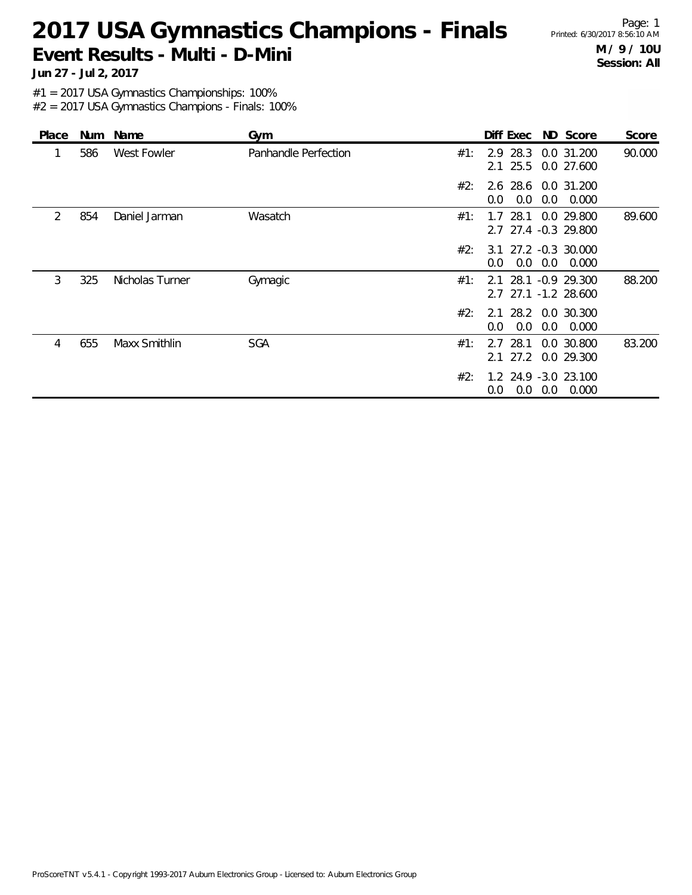Page: 1 **M / 9 / 10U Session: All**

**Jun 27 - Jul 2, 2017**

#1 = 2017 USA Gymnastics Championships: 100%

| Place | Num | Name            | Gym                  |     | Diff Exec                           |     | ND Score                          | Score  |
|-------|-----|-----------------|----------------------|-----|-------------------------------------|-----|-----------------------------------|--------|
|       | 586 | West Fowler     | Panhandle Perfection | #1: | 28.3<br>2.9<br>25.5<br>2.1          |     | 0.0 31.200<br>0.0 27.600          | 90.000 |
|       |     |                 |                      | #2: | 2.6 28.6 0.0 31.200<br>0.0<br>0.0   | 0.0 | 0.000                             |        |
| 2     | 854 | Daniel Jarman   | Wasatch              | #1: | 28.1<br>1.7<br>2.7 27.4 -0.3 29.800 |     | 0.0 29.800                        | 89.600 |
|       |     |                 |                      | #2: | 3.1<br>0.0<br>0.0                   | 0.0 | 27.2 -0.3 30.000<br>0.000         |        |
| 3     | 325 | Nicholas Turner | Gymagic              | #1: | 28.1<br>2.1<br>2.7                  |     | $-0.9$ 29.300<br>27.1 -1.2 28.600 | 88.200 |
|       |     |                 |                      | #2: | 2.1 28.2 0.0 30.300<br>0.0<br>0.0   | 0.0 | 0.000                             |        |
| 4     | 655 | Maxx Smithlin   | <b>SGA</b>           | #1: | 28.1<br>2.7<br>27.2<br>2.1          |     | 0.0 30.800<br>0.0 29.300          | 83.200 |
|       |     |                 |                      | #2: | 1.2 24.9 -3.0 23.100<br>0.0<br>0.0  | 0.0 | 0.000                             |        |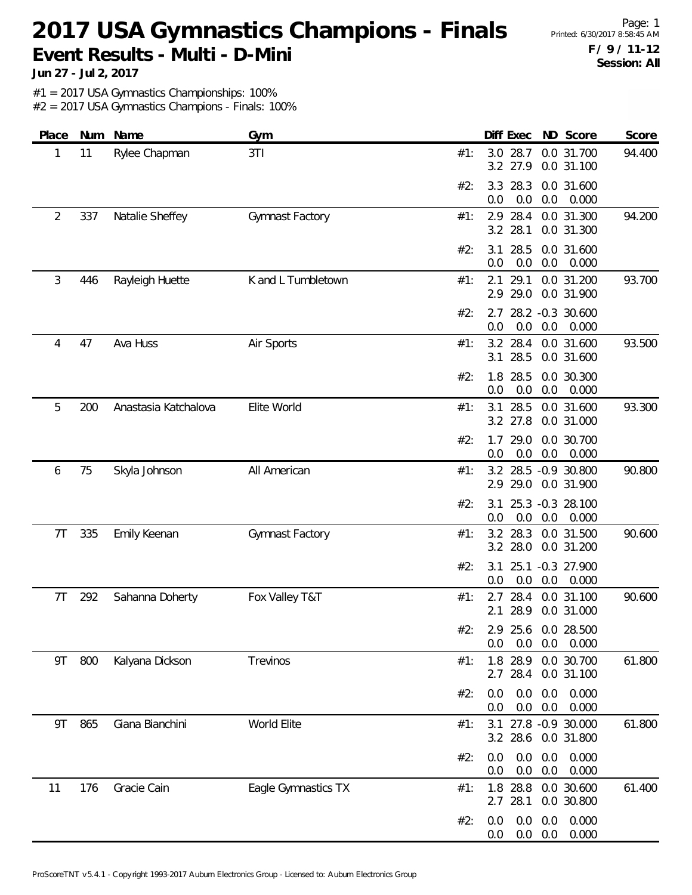Page: 1 **F / 9 / 11-12 Session: All**

**Jun 27 - Jul 2, 2017**

#1 = 2017 USA Gymnastics Championships: 100%

| Place | Num | Name                 | Gym                 | Diff Exec ND Score<br>Score                                             |
|-------|-----|----------------------|---------------------|-------------------------------------------------------------------------|
| 1     | 11  | Rylee Chapman        | 3TI                 | 3.0 28.7<br>0.0 31.700<br>94.400<br>#1:<br>3.2 27.9<br>0.0 31.100       |
|       |     |                      |                     | 3.3 28.3<br>0.0 31.600<br>#2:<br>0.0<br>0.0<br>0.0<br>0.000             |
| 2     | 337 | Natalie Sheffey      | Gymnast Factory     | 28.4<br>0.0 31.300<br>94.200<br>2.9<br>#1:<br>3.2 28.1<br>0.0 31.300    |
|       |     |                      |                     | 28.5<br>0.0 31.600<br>#2:<br>3.1<br>0.0<br>0.0<br>0.0<br>0.000          |
| 3     | 446 | Rayleigh Huette      | K and L Tumbletown  | 29.1<br>93.700<br>#1:<br>2.1<br>0.0 31.200<br>2.9 29.0<br>0.0 31.900    |
|       |     |                      |                     | 28.2 -0.3 30.600<br>#2:<br>2.7<br>0.0<br>0.0<br>0.0<br>0.000            |
| 4     | 47  | Ava Huss             | Air Sports          | 93.500<br>3.2 28.4<br>0.0 31.600<br>#1:<br>28.5<br>0.0 31.600<br>3.1    |
|       |     |                      |                     | 1.8 28.5<br>#2:<br>0.0 30.300<br>0.0<br>0.0<br>0.0<br>0.000             |
| 5     | 200 | Anastasia Katchalova | Elite World         | 28.5<br>93.300<br>3.1<br>0.0 31.600<br>#1:<br>3.2 27.8<br>0.0 31.000    |
|       |     |                      |                     | 29.0<br>0.0 30.700<br>#2:<br>1.7<br>0.0<br>0.0<br>0.0<br>0.000          |
| 6     | 75  | Skyla Johnson        | All American        | 90.800<br>3.2 28.5 -0.9 30.800<br>#1:<br>2.9 29.0<br>0.0 31.900         |
|       |     |                      |                     | 25.3 -0.3 28.100<br>#2:<br>3.1<br>0.0<br>0.0<br>0.000<br>0.0            |
| 7T    | 335 | Emily Keenan         | Gymnast Factory     | 90.600<br>3.2 28.3<br>0.0 31.500<br>#1:<br>3.2 28.0<br>0.0 31.200       |
|       |     |                      |                     | $-0.3$ 27.900<br>#2:<br>3.1<br>25.1<br>0.0<br>0.0<br>0.000<br>0.0       |
| 7T    | 292 | Sahanna Doherty      | Fox Valley T&T      | 28.4<br>0.0 31.100<br>90.600<br>#1:<br>2.7<br>28.9<br>2.1<br>0.0 31.000 |
|       |     |                      |                     | #2:<br>2.9 25.6 0.0 28.500<br>0.0<br>$0.0\quad 0.000$<br>0.0            |
| 9T    | 800 | Kalyana Dickson      | Trevinos            | 1.8 28.9<br>0.0 30.700<br>61.800<br>#1:<br>2.7 28.4<br>0.0 31.100       |
|       |     |                      |                     | 0.0<br>0.0<br>0.0<br>0.000<br>#2:<br>0.0<br>0.0<br>0.000<br>0.0         |
| 9T    | 865 | Giana Bianchini      | World Elite         | 3.1 27.8 -0.9 30.000<br>61.800<br>#1:<br>3.2 28.6 0.0 31.800            |
|       |     |                      |                     | 0.0<br>0.0<br>0.000<br>#2:<br>0.0<br>0.0<br>0.0<br>0.000<br>0.0         |
| 11    | 176 | Gracie Cain          | Eagle Gymnastics TX | 61.400<br>1.8 28.8 0.0 30.600<br>#1:<br>2.7 28.1<br>0.0 30.800          |
|       |     |                      |                     | 0.0<br>0.0<br>0.000<br>#2:<br>0.0<br>$0.0\ 0.0$<br>0.000<br>0.0         |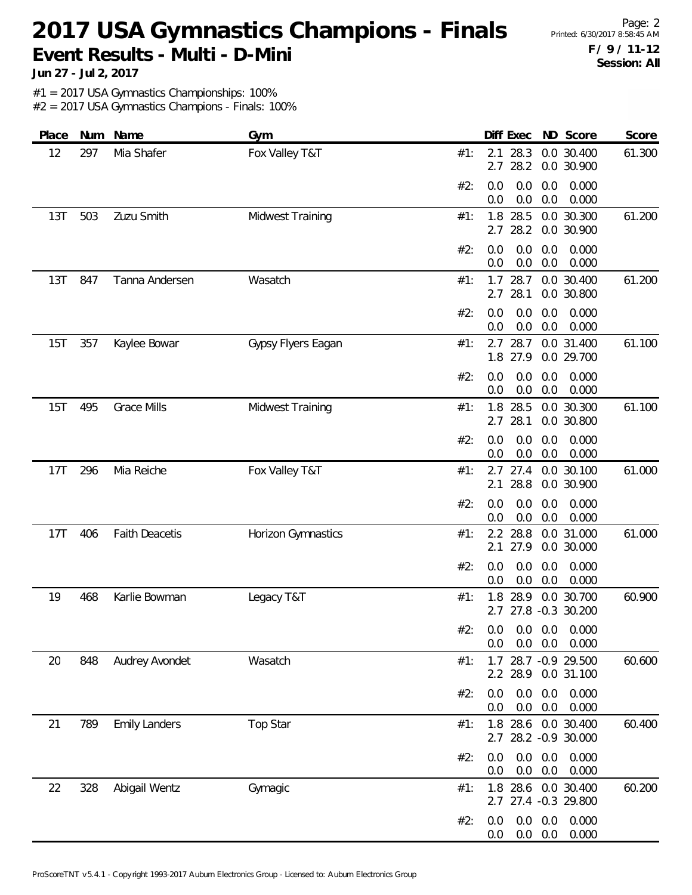Page: 2 **F / 9 / 11-12 Session: All**

**Jun 27 - Jul 2, 2017**

#1 = 2017 USA Gymnastics Championships: 100%

| Place | Num | Name                  | Gym                     | ND Score<br>Diff Exec<br>Score                                          |
|-------|-----|-----------------------|-------------------------|-------------------------------------------------------------------------|
| 12    | 297 | Mia Shafer            | Fox Valley T&T          | 28.3<br>0.0 30.400<br>61.300<br>#1:<br>2.1<br>28.2<br>0.0 30.900<br>2.7 |
|       |     |                       |                         | 0.000<br>#2:<br>0.0<br>0.0<br>0.0<br>0.0<br>0.0<br>0.000<br>0.0         |
| 13T   | 503 | Zuzu Smith            | Midwest Training        | 28.5<br>0.0 30.300<br>1.8<br>61.200<br>#1:<br>28.2<br>0.0 30.900<br>2.7 |
|       |     |                       |                         | #2:<br>0.0<br>0.0<br>0.0<br>0.000<br>0.000<br>0.0<br>0.0<br>0.0         |
| 13T   | 847 | Tanna Andersen        | Wasatch                 | 0.0 30.400<br>61.200<br>$1.7$ 28.7<br>#1:<br>28.1<br>0.0 30.800<br>2.7  |
|       |     |                       |                         | 0.0<br>0.000<br>#2:<br>0.0<br>0.0<br>0.0<br>0.0<br>0.0<br>0.000         |
| 15T   | 357 | Kaylee Bowar          | Gypsy Flyers Eagan      | 28.7<br>2.7<br>0.0 31.400<br>61.100<br>#1:<br>1.8 27.9<br>0.0 29.700    |
|       |     |                       |                         | 0.0<br>0.0<br>0.000<br>#2:<br>0.0<br>0.0<br>0.0<br>0.000<br>0.0         |
| 15T   | 495 | <b>Grace Mills</b>    | <b>Midwest Training</b> | 1.8 28.5<br>0.0 30.300<br>61.100<br>#1:<br>28.1<br>2.7<br>0.0 30.800    |
|       |     |                       |                         | #2:<br>0.000<br>0.0<br>0.0<br>0.0<br>0.0<br>0.0<br>0.0<br>0.000         |
| 17T   | 296 | Mia Reiche            | Fox Valley T&T          | $2.7$ 27.4<br>0.0 30.100<br>61.000<br>#1:<br>28.8<br>0.0 30.900<br>2.1  |
|       |     |                       |                         | 0.0<br>0.0<br>0.0<br>0.000<br>#2:<br>0.0<br>0.0<br>0.0<br>0.000         |
| 17T   | 406 | <b>Faith Deacetis</b> | Horizon Gymnastics      | 28.8<br>61.000<br>2.2<br>0.0 31.000<br>#1:<br>27.9<br>0.0 30.000<br>2.1 |
|       |     |                       |                         | 0.0<br>0.000<br>#2:<br>0.0<br>0.0<br>0.0<br>0.0<br>0.000<br>0.0         |
| 19    | 468 | Karlie Bowman         | Legacy T&T              | 28.9<br>0.0 30.700<br>60.900<br>#1:<br>1.8<br>2.7 27.8 -0.3 30.200      |
|       |     |                       |                         | #2: 0.0 0.0 0.0 0.000<br>$0.0\quad 0.0$<br>0.000<br>0.0                 |
| 20    | 848 | Audrey Avondet        | Wasatch                 | 1.7 28.7 -0.9 29.500<br>60.600<br>#1:<br>2.2 28.9 0.0 31.100            |
|       |     |                       |                         | 0.0<br>0.0<br>0.0<br>#2:<br>0.000<br>0.0<br>0.0<br>0.0<br>0.000         |
| 21    | 789 | <b>Emily Landers</b>  | Top Star                | 1.8 28.6<br>0.0 30.400<br>60.400<br>#1:<br>2.7 28.2 -0.9 30.000         |
|       |     |                       |                         | 0.0<br>0.0<br>0.000<br>#2:<br>0.0<br>0.000<br>0.0<br>0.0<br>0.0         |
| 22    | 328 | Abigail Wentz         | Gymagic                 | 60.200<br>1.8 28.6 0.0 30.400<br>#1:<br>2.7 27.4 -0.3 29.800            |
|       |     |                       |                         | 0.0<br>0.0<br>0.000<br>#2:<br>0.0<br>0.0<br>0.0<br>0.000<br>0.0         |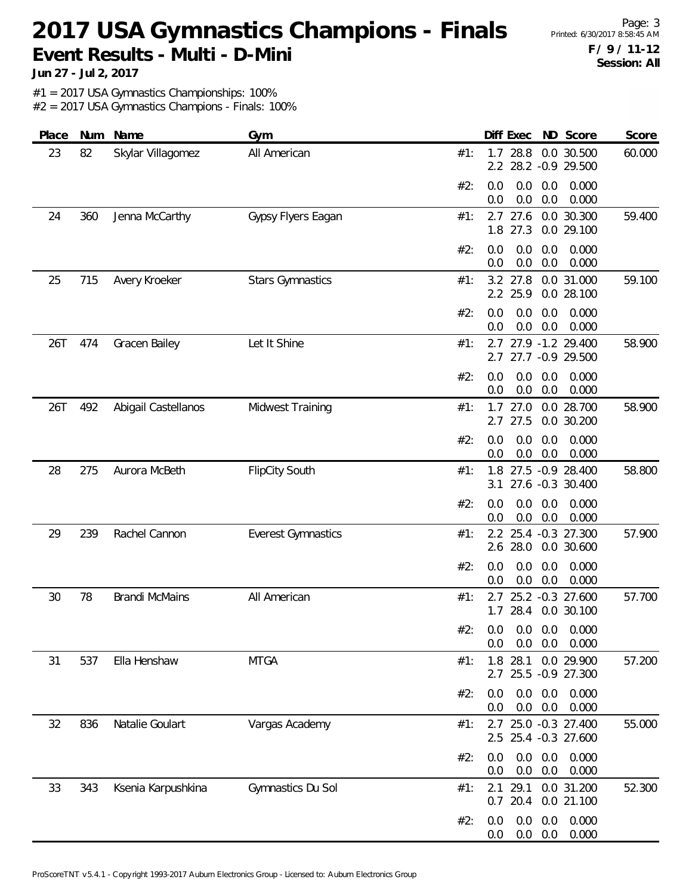Page: 3 **F / 9 / 11-12 Session: All**

**Jun 27 - Jul 2, 2017**

#1 = 2017 USA Gymnastics Championships: 100%

| Place | Num | Name                  | Gym                       | Diff Exec<br>ND Score<br>Score                                                   |
|-------|-----|-----------------------|---------------------------|----------------------------------------------------------------------------------|
| 23    | 82  | Skylar Villagomez     | All American              | 28.8<br>0.0 30.500<br>60.000<br>#1:<br>1.7<br>28.2 - 0.9 29.500<br>$2.2^{\circ}$ |
|       |     |                       |                           | 0.0<br>0.000<br>#2:<br>0.0<br>0.0<br>0.0<br>0.0<br>0.0<br>0.000                  |
| 24    | 360 | Jenna McCarthy        | Gypsy Flyers Eagan        | 0.0 30.300<br>27.6<br>59.400<br>#1:<br>2.7<br>1.8 27.3<br>0.0 29.100             |
|       |     |                       |                           | 0.0<br>0.0<br>0.000<br>#2:<br>0.0<br>0.0<br>0.0<br>0.000<br>0.0                  |
| 25    | 715 | Avery Kroeker         | <b>Stars Gymnastics</b>   | 59.100<br>3.2 27.8<br>0.0 31.000<br>#1:<br>2.2 25.9<br>0.0 28.100                |
|       |     |                       |                           | 0.0<br>0.0<br>0.000<br>#2:<br>0.0<br>0.0<br>0.0<br>0.000<br>0.0                  |
| 26T   | 474 | Gracen Bailey         | Let It Shine              | 2.7 27.9 -1.2 29.400<br>58.900<br>#1:<br>2.7 27.7 -0.9 29.500                    |
|       |     |                       |                           | 0.0<br>0.000<br>#2:<br>0.0<br>0.0<br>0.0<br>0.0<br>0.000<br>0.0                  |
| 26T   | 492 | Abigail Castellanos   | Midwest Training          | 0.0 28.700<br>27.0<br>58.900<br>#1:<br>1.7<br>2.7 27.5<br>0.0 30.200             |
|       |     |                       |                           | 0.0<br>0.0<br>0.000<br>#2:<br>0.0<br>0.0<br>0.0<br>0.0<br>0.000                  |
| 28    | 275 | Aurora McBeth         | <b>FlipCity South</b>     | 1.8 27.5 -0.9 28.400<br>58.800<br>#1:<br>27.6 -0.3 30.400<br>3.1                 |
|       |     |                       |                           | 0.0<br>0.0<br>0.000<br>#2:<br>0.0<br>0.0<br>0.0<br>0.000<br>0.0                  |
| 29    | 239 | Rachel Cannon         | <b>Everest Gymnastics</b> | 57.900<br>2.2 25.4 -0.3 27.300<br>#1:<br>2.6 28.0<br>0.0 30.600                  |
|       |     |                       |                           | 0.000<br>#2:<br>0.0<br>0.0<br>0.0<br>0.0<br>0.0<br>0.000<br>0.0                  |
| 30    | 78  | <b>Brandi McMains</b> | All American              | 25.2 -0.3 27.600<br>57.700<br>#1:<br>2.7<br>$1.7$ 28.4<br>0.0 30.100             |
|       |     |                       |                           | #2:<br>$0.0$ $0.0$ $0.0$ $0.000$<br>0.000<br>0.0<br>0.0<br>0.0                   |
| 31    | 537 | Ella Henshaw          | <b>MTGA</b>               | 1.8 28.1<br>0.0 29.900<br>#1:<br>57.200<br>2.7 25.5 -0.9 27.300                  |
|       |     |                       |                           | 0.0<br>0.0<br>0.0<br>0.000<br>#2:<br>0.0<br>0.0<br>0.000<br>0.0                  |
| 32    | 836 | Natalie Goulart       | Vargas Academy            | 25.0 -0.3 27.400<br>55.000<br>#1:<br>2.7<br>2.5 25.4 -0.3 27.600                 |
|       |     |                       |                           | 0.0<br>0.0<br>0.0<br>0.000<br>#2:<br>0.0<br>0.0<br>0.000<br>0.0                  |
| 33    | 343 | Ksenia Karpushkina    | Gymnastics Du Sol         | 29.1<br>0.0 31.200<br>52.300<br>#1:<br>2.1<br>$0.7$ 20.4<br>0.0 21.100           |
|       |     |                       |                           | 0.000<br>0.0<br>0.0<br>#2:<br>0.0<br>0.0<br>0.000<br>0.0<br>0.0                  |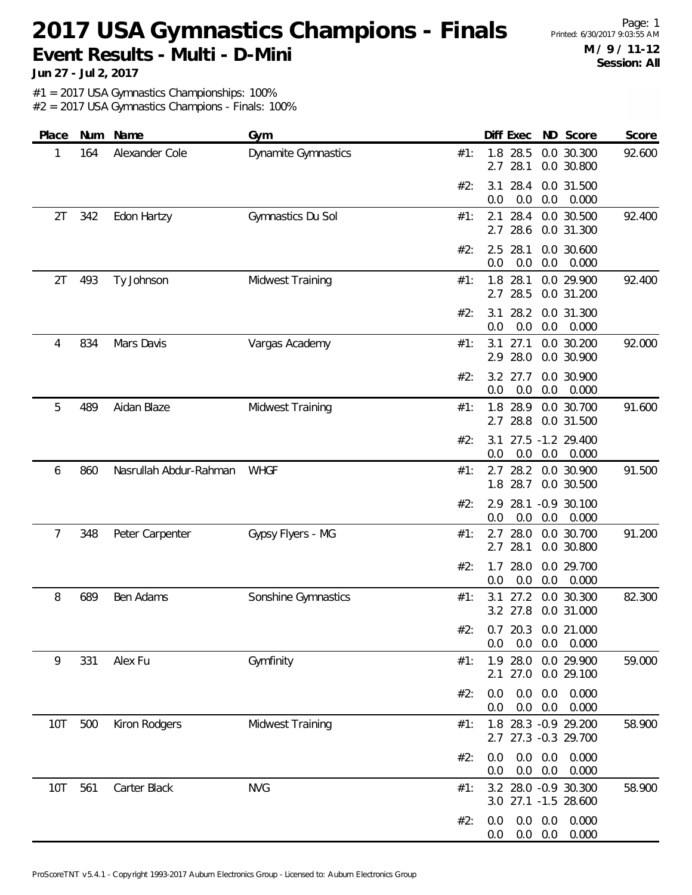Page: 1 **M / 9 / 11-12 Session: All**

**Jun 27 - Jul 2, 2017**

#1 = 2017 USA Gymnastics Championships: 100%

| Place      | Num | Name                   | Gym                        |     |            | Diff Exec          |                                  | ND Score                                     | Score  |
|------------|-----|------------------------|----------------------------|-----|------------|--------------------|----------------------------------|----------------------------------------------|--------|
| 1          | 164 | Alexander Cole         | <b>Dynamite Gymnastics</b> | #1: | 2.7        | 1.8 28.5<br>28.1   |                                  | 0.0 30.300<br>0.0 30.800                     | 92.600 |
|            |     |                        |                            | #2: | 3.1<br>0.0 | 28.4<br>0.0        | 0.0                              | 0.0 31.500<br>0.000                          |        |
| 2T         | 342 | Edon Hartzy            | Gymnastics Du Sol          | #1: | 2.1<br>2.7 | 28.4<br>28.6       |                                  | 0.0 30.500<br>0.0 31.300                     | 92.400 |
|            |     |                        |                            | #2: | 2.5<br>0.0 | 28.1<br>0.0        | 0.0                              | 0.0 30.600<br>0.000                          |        |
| 2T         | 493 | Ty Johnson             | Midwest Training           | #1: | 2.7        | 1.8 28.1<br>28.5   |                                  | 0.0 29.900<br>0.0 31.200                     | 92.400 |
|            |     |                        |                            | #2: | 3.1<br>0.0 | 28.2<br>0.0        | 0.0                              | 0.0 31.300<br>0.000                          |        |
| 4          | 834 | Mars Davis             | Vargas Academy             | #1: | 3.1        | 27.1<br>2.9 28.0   |                                  | 0.0 30.200<br>0.0 30.900                     | 92.000 |
|            |     |                        |                            | #2: | 0.0        | $3.2$ 27.7<br>0.0  | 0.0                              | 0.0 30.900<br>0.000                          |        |
| 5          | 489 | Aidan Blaze            | Midwest Training           | #1: | 2.7        | 1.8 28.9<br>28.8   |                                  | 0.0 30.700<br>0.0 31.500                     | 91.600 |
|            |     |                        |                            | #2: | 3.1<br>0.0 | 0.0                | 0.0                              | 27.5 -1.2 29.400<br>0.000                    |        |
| 6          | 860 | Nasrullah Abdur-Rahman | <b>WHGF</b>                | #1: | 1.8        | $2.7$ 28.2<br>28.7 |                                  | 0.0 30.900<br>0.0 30.500                     | 91.500 |
|            |     |                        |                            | #2: | 2.9<br>0.0 | 28.1<br>0.0        | 0.0                              | $-0.9$ 30.100<br>0.000                       |        |
| 7          | 348 | Peter Carpenter        | Gypsy Flyers - MG          | #1: | 2.7        | 28.0<br>2.7 28.1   |                                  | 0.0 30.700<br>0.0 30.800                     | 91.200 |
|            |     |                        |                            | #2: | 1.7<br>0.0 | 28.0<br>0.0        | 0.0                              | 0.0 29.700<br>0.000                          |        |
| 8          | 689 | Ben Adams              | Sonshine Gymnastics        | #1: | 3.1        | 27.2<br>3.2 27.8   |                                  | 0.0 30.300<br>0.0 31.000                     | 82.300 |
|            |     |                        |                            |     | 0.0        | 0.0                |                                  | #2: 0.7 20.3 0.0 21.000<br>$0.0\quad 0.000$  |        |
| 9          | 331 | Alex Fu                | Gymfinity                  | #1: | 2.1        | 1.9 28.0           |                                  | 0.0 29.900<br>27.0 0.0 29.100                | 59.000 |
|            |     |                        |                            | #2: | 0.0<br>0.0 | 0.0<br>0.0         | 0.0<br>0.0                       | 0.000<br>0.000                               |        |
| <b>10T</b> | 500 | Kiron Rodgers          | Midwest Training           | #1: |            |                    |                                  | 1.8 28.3 -0.9 29.200<br>2.7 27.3 -0.3 29.700 | 58.900 |
|            |     |                        |                            | #2: | 0.0<br>0.0 |                    | $0.0\quad 0.0$<br>$0.0\quad 0.0$ | 0.000<br>0.000                               |        |
| <b>10T</b> | 561 | Carter Black           | <b>NVG</b>                 | #1: |            |                    |                                  | 3.2 28.0 -0.9 30.300<br>3.0 27.1 -1.5 28.600 | 58.900 |
|            |     |                        |                            | #2: | 0.0<br>0.0 |                    | $0.0\quad 0.0$<br>$0.0\ 0.0$     | 0.000<br>0.000                               |        |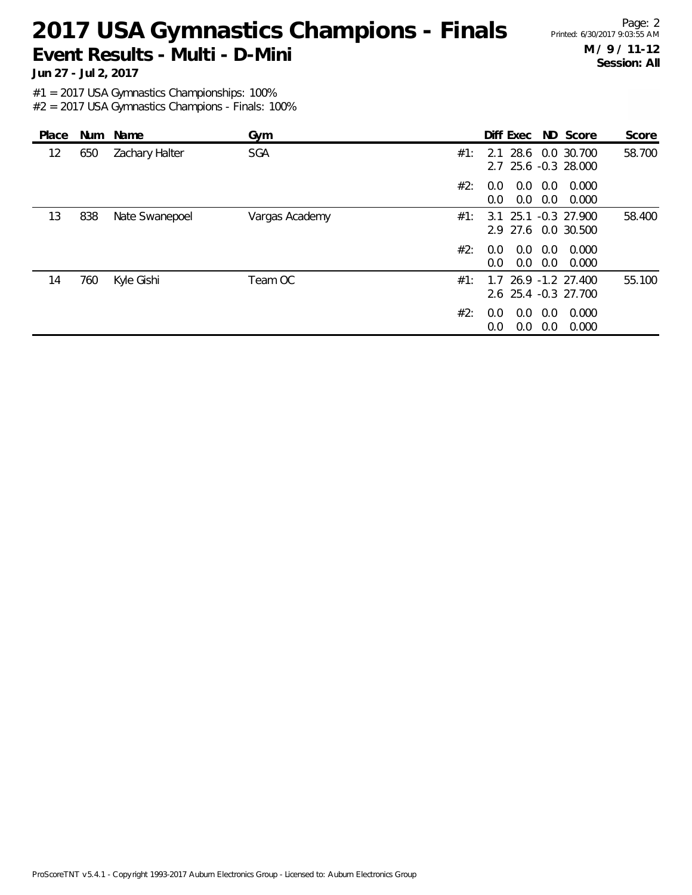Page: 2 **M / 9 / 11-12 Session: All**

**Jun 27 - Jul 2, 2017**

#1 = 2017 USA Gymnastics Championships: 100%

| Place |     | Num Name       | Gym            |     | Diff Exec ND Score                          |            |                  | Score  |
|-------|-----|----------------|----------------|-----|---------------------------------------------|------------|------------------|--------|
| 12    | 650 | Zachary Halter | SGA            | #1: | 2.1<br>2.7 25.6 -0.3 28.000                 |            | 28.6 0.0 30.700  | 58.700 |
|       |     |                |                | #2: | 0.0<br>$0.0^{\circ}$<br>0.0<br>0.0          | 0.0<br>0.0 | 0.000<br>0.000   |        |
| 13    | 838 | Nate Swanepoel | Vargas Academy | #1: | 3.1 25.1 -0.3 27.900<br>2.9 27.6 0.0 30.500 |            |                  | 58.400 |
|       |     |                |                | #2: | 0.0<br>0.0<br>0.0<br>0.0                    | 0.0<br>0.0 | 0.000<br>0.000   |        |
| 14    | 760 | Kyle Gishi     | Team OC        | #1: | 1.7<br>2.6 25.4 -0.3 27.700                 |            | 26.9 -1.2 27.400 | 55.100 |
|       |     |                |                | #2: | 0.0<br>0.0<br>0.0<br>0.0                    | 0.0<br>0.0 | 0.000<br>0.000   |        |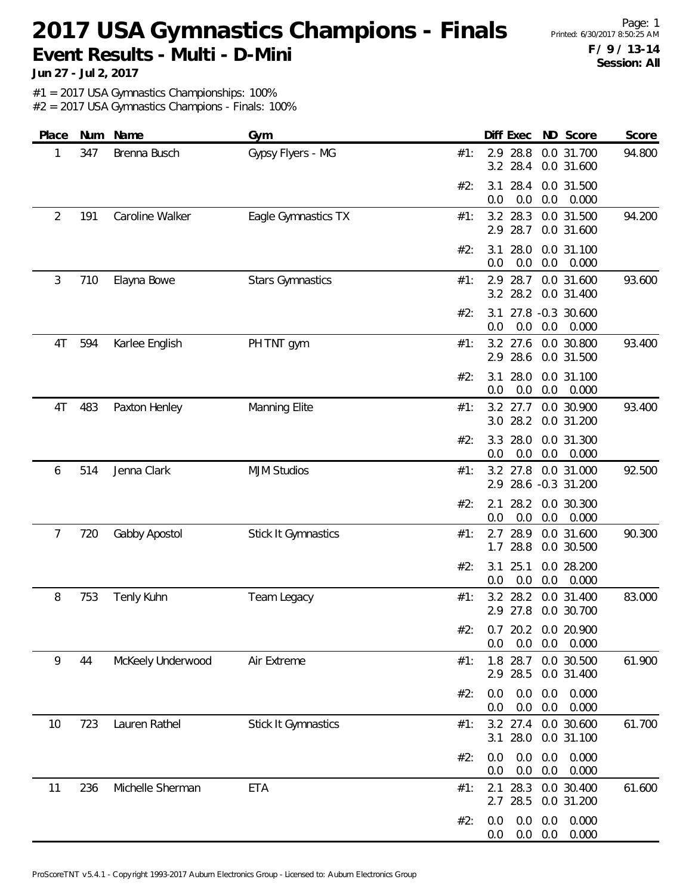Page: 1 **F / 9 / 13-14 Session: All**

**Jun 27 - Jul 2, 2017**

#1 = 2017 USA Gymnastics Championships: 100%

| Place | Num | Name              | Gym                        | ND Score<br>Diff Exec                                           | Score  |
|-------|-----|-------------------|----------------------------|-----------------------------------------------------------------|--------|
| 1     | 347 | Brenna Busch      | Gypsy Flyers - MG          | 28.8<br>0.0 31.700<br>2.9<br>#1:<br>3.2 28.4<br>0.0 31.600      | 94.800 |
|       |     |                   |                            | #2:<br>28.4<br>0.0 31.500<br>3.1<br>0.0<br>0.0<br>0.0<br>0.000  |        |
| 2     | 191 | Caroline Walker   | Eagle Gymnastics TX        | 3.2 28.3<br>0.0 31.500<br>#1:<br>28.7<br>0.0 31.600<br>2.9      | 94.200 |
|       |     |                   |                            | #2:<br>28.0<br>0.0 31.100<br>3.1<br>0.0<br>0.0<br>0.0<br>0.000  |        |
| 3     | 710 | Elayna Bowe       | <b>Stars Gymnastics</b>    | 2.9 28.7<br>0.0 31.600<br>#1:<br>28.2<br>3.2<br>0.0 31.400      | 93.600 |
|       |     |                   |                            | 27.8 -0.3 30.600<br>#2:<br>3.1<br>0.0<br>0.0<br>0.0<br>0.000    |        |
| 4T    | 594 | Karlee English    | PH TNT gym                 | 3.2 27.6<br>0.0 30.800<br>#1:<br>2.9 28.6<br>0.0 31.500         | 93.400 |
|       |     |                   |                            | 28.0<br>0.0 31.100<br>#2:<br>3.1<br>0.0<br>0.0<br>0.0<br>0.000  |        |
| 4T    | 483 | Paxton Henley     | Manning Elite              | 0.0 30.900<br>$3.2$ 27.7<br>#1:<br>28.2<br>3.0<br>0.0 31.200    | 93.400 |
|       |     |                   |                            | #2:<br>3.3<br>28.0<br>0.0 31.300<br>0.0<br>0.0<br>0.0<br>0.000  |        |
| 6     | 514 | Jenna Clark       | <b>MJM Studios</b>         | 3.2 27.8<br>0.0 31.000<br>#1:<br>2.9 28.6 -0.3 31.200           | 92.500 |
|       |     |                   |                            | 28.2<br>0.0 30.300<br>#2:<br>2.1<br>0.0<br>0.000<br>0.0<br>0.0  |        |
| 7     | 720 | Gabby Apostol     | Stick It Gymnastics        | 28.9<br>0.0 31.600<br>#1:<br>2.7<br>28.8<br>0.0 30.500<br>1.7   | 90.300 |
|       |     |                   |                            | 25.1<br>0.0 28.200<br>#2:<br>3.1<br>0.0<br>0.0<br>0.0<br>0.000  |        |
| 8     | 753 | Tenly Kuhn        | Team Legacy                | 28.2<br>3.2<br>0.0 31.400<br>#1:<br>2.9 27.8<br>0.0 30.700      | 83.000 |
|       |     |                   |                            | #2: 0.7 20.2 0.0 20.900<br>0.0<br>0.0<br>0.0<br>0.000           |        |
| 9     | 44  | McKeely Underwood | Air Extreme                | 1.8 28.7<br>0.0 30.500<br>#1:<br>2.9 28.5<br>0.0 31.400         | 61.900 |
|       |     |                   |                            | 0.000<br>#2:<br>0.0<br>0.0<br>0.0<br>0.0<br>0.0<br>0.000<br>0.0 |        |
| 10    | 723 | Lauren Rathel     | <b>Stick It Gymnastics</b> | 3.2 27.4<br>0.0 30.600<br>#1:<br>3.1 28.0<br>0.0 31.100         | 61.700 |
|       |     |                   |                            | 0.0<br>#2:<br>0.0<br>0.0<br>0.000<br>0.0<br>0.0<br>0.000<br>0.0 |        |
| 11    | 236 | Michelle Sherman  | <b>ETA</b>                 | 28.3<br>0.0 30.400<br>#1:<br>2.1<br>28.5<br>0.0 31.200<br>2.7   | 61.600 |
|       |     |                   |                            | 0.0<br>0.0<br>0.000<br>#2:<br>0.0<br>0.0<br>0.0<br>0.000<br>0.0 |        |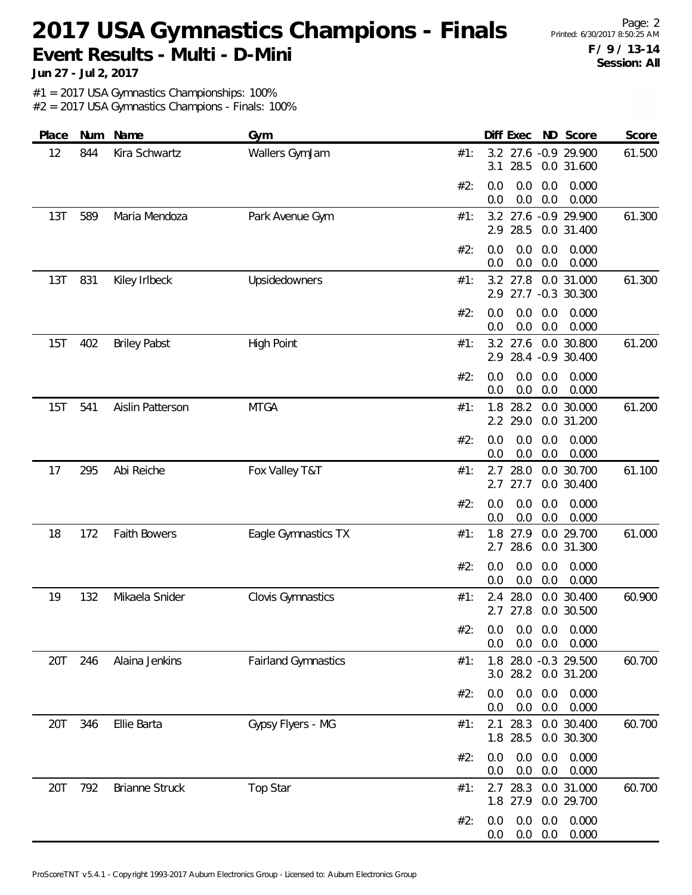Page: 2 **F / 9 / 13-14 Session: All**

**Jun 27 - Jul 2, 2017**

#1 = 2017 USA Gymnastics Championships: 100%

| Place | Num | Name                  | Gym                        | Diff Exec ND Score<br>Score                                          |
|-------|-----|-----------------------|----------------------------|----------------------------------------------------------------------|
| 12    | 844 | Kira Schwartz         | Wallers GymJam             | 3.2 27.6 -0.9 29.900<br>61.500<br>#1:<br>28.5<br>0.0 31.600<br>3.1   |
|       |     |                       |                            | #2:<br>0.0<br>0.0<br>0.0<br>0.000<br>0.0<br>0.0<br>0.000<br>0.0      |
| 13T   | 589 | Maria Mendoza         | Park Avenue Gym            | 27.6 -0.9 29.900<br>61.300<br>#1:<br>3.2<br>2.9 28.5<br>0.0 31.400   |
|       |     |                       |                            | 0.0<br>0.0<br>#2:<br>0.0<br>0.000<br>0.0<br>0.0<br>0.0<br>0.000      |
| 13T   | 831 | Kiley Irlbeck         | Upsidedowners              | 61.300<br>3.2 27.8<br>0.0 31.000<br>#1:<br>2.9 27.7 -0.3 30.300      |
|       |     |                       |                            | 0.0<br>#2:<br>0.0<br>0.0<br>0.000<br>0.0<br>0.0<br>0.000<br>0.0      |
| 15T   | 402 | <b>Briley Pabst</b>   | <b>High Point</b>          | 61.200<br>$3.2$ 27.6<br>0.0 30.800<br>#1:<br>2.9 28.4 -0.9 30.400    |
|       |     |                       |                            | 0.000<br>#2:<br>0.0<br>0.0<br>0.0<br>0.0<br>0.0<br>0.000<br>0.0      |
| 15T   | 541 | Aislin Patterson      | <b>MTGA</b>                | 0.0 30.000<br>1.8<br>28.2<br>61.200<br>#1:<br>2.2 29.0<br>0.0 31.200 |
|       |     |                       |                            | #2:<br>0.0<br>0.0<br>0.0<br>0.000<br>0.0<br>0.0<br>0.0<br>0.000      |
| 17    | 295 | Abi Reiche            | Fox Valley T&T             | 61.100<br>2.7 28.0<br>0.0 30.700<br>#1:<br>27.7<br>0.0 30.400<br>2.7 |
|       |     |                       |                            | 0.0<br>0.0<br>0.0<br>0.000<br>#2:<br>0.0<br>0.0<br>0.0<br>0.000      |
| 18    | 172 | <b>Faith Bowers</b>   | Eagle Gymnastics TX        | 1.8 27.9<br>0.0 29.700<br>61.000<br>#1:<br>2.7 28.6<br>0.0 31.300    |
|       |     |                       |                            | 0.000<br>#2:<br>0.0<br>0.0<br>0.0<br>0.0<br>0.0<br>0.000<br>0.0      |
| 19    | 132 | Mikaela Snider        | <b>Clovis Gymnastics</b>   | 28.0<br>0.0 30.400<br>60.900<br>#1:<br>2.4<br>2.7 27.8<br>0.0 30.500 |
|       |     |                       |                            | #2: 0.0 0.0 0.0 0.000<br>0.000<br>0.0<br>$0.0\quad 0.0$              |
| 20T   | 246 | Alaina Jenkins        | <b>Fairland Gymnastics</b> | 1.8 28.0 -0.3 29.500<br>60.700<br>#1:<br>3.0 28.2 0.0 31.200         |
|       |     |                       |                            | 0.0<br>0.0<br>0.0<br>0.000<br>#2:<br>0.0<br>0.0<br>0.000<br>0.0      |
| 20T   | 346 | Ellie Barta           | Gypsy Flyers - MG          | 2.1 28.3<br>0.0 30.400<br>60.700<br>#1:<br>1.8 28.5<br>0.0 30.300    |
|       |     |                       |                            | 0.0<br>0.0<br>0.000<br>#2:<br>0.0<br>0.0<br>0.0<br>0.000<br>0.0      |
| 20T   | 792 | <b>Brianne Struck</b> | Top Star                   | 60.700<br>2.7 28.3 0.0 31.000<br>#1:<br>1.8 27.9<br>0.0 29.700       |
|       |     |                       |                            | 0.0<br>0.000<br>#2:<br>0.0<br>0.0<br>$0.0\quad 0.0$<br>0.000<br>0.0  |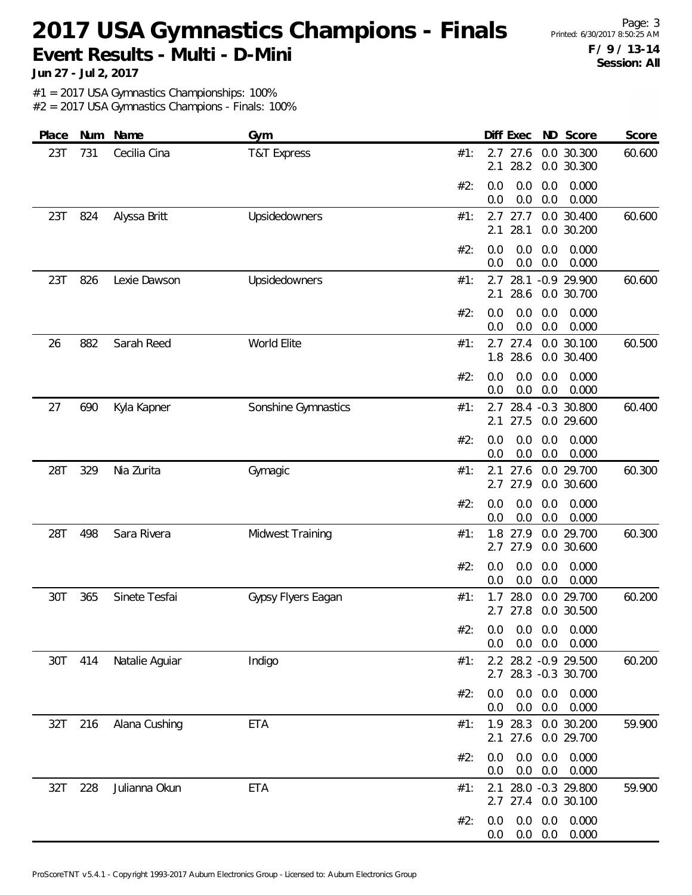**Jun 27 - Jul 2, 2017**

#1 = 2017 USA Gymnastics Championships: 100%

| Place | Num | Name           | Gym                    |     | Diff Exec<br>ND Score                                        | Score  |
|-------|-----|----------------|------------------------|-----|--------------------------------------------------------------|--------|
| 23T   | 731 | Cecilia Cina   | <b>T&amp;T Express</b> | #1: | 27.6<br>0.0 30.300<br>2.7<br>28.2<br>0.0 30.300<br>2.1       | 60.600 |
|       |     |                |                        | #2: | 0.0<br>0.0<br>0.0<br>0.000<br>0.0<br>0.0<br>0.0<br>0.000     |        |
| 23T   | 824 | Alyssa Britt   | Upsidedowners          | #1: | 0.0 30.400<br>2.7 27.7<br>28.1<br>2.1<br>0.0 30.200          | 60.600 |
|       |     |                |                        | #2: | 0.0<br>0.0<br>0.0<br>0.000<br>0.0<br>0.0<br>0.0<br>0.000     |        |
| 23T   | 826 | Lexie Dawson   | Upsidedowners          | #1: | 28.1<br>2.7<br>$-0.9$ 29.900<br>28.6<br>2.1<br>0.0 30.700    | 60.600 |
|       |     |                |                        | #2: | 0.0<br>0.0<br>0.0<br>0.000<br>0.0<br>0.0<br>0.0<br>0.000     |        |
| 26    | 882 | Sarah Reed     | World Elite            | #1: | 2.7<br>27.4<br>0.0 30.100<br>1.8<br>28.6<br>0.0 30.400       | 60.500 |
|       |     |                |                        | #2: | 0.0<br>0.0<br>0.0<br>0.000<br>0.0<br>0.0<br>0.000<br>0.0     |        |
| 27    | 690 | Kyla Kapner    | Sonshine Gymnastics    | #1: | 28.4 -0.3 30.800<br>2.7<br>27.5<br>0.0 29.600<br>2.1         | 60.400 |
|       |     |                |                        | #2: | 0.0<br>0.0<br>0.0<br>0.000<br>0.0<br>0.000<br>0.0<br>0.0     |        |
| 28T   | 329 | Nia Zurita     | Gymagic                | #1: | 27.6<br>29.700<br>2.1<br>0.0<br>27.9<br>2.7<br>0.0 30.600    | 60.300 |
|       |     |                |                        | #2: | 0.0<br>0.0<br>0.0<br>0.000<br>$0.0\,$<br>0.0<br>0.0<br>0.000 |        |
| 28T   | 498 | Sara Rivera    | Midwest Training       | #1: | 1.8<br>27.9<br>0.0 29.700<br>27.9<br>2.7<br>0.0 30.600       | 60.300 |
|       |     |                |                        | #2: | 0.0<br>0.0<br>0.0<br>0.000<br>0.0<br>0.0<br>0.0<br>0.000     |        |
| 30T   | 365 | Sinete Tesfai  | Gypsy Flyers Eagan     | #1: | 28.0<br>0.0 29.700<br>1.7<br>27.8<br>0.0 30.500<br>2.7       | 60.200 |
|       |     |                |                        | #2: | 0.0<br>0.0<br>0.000<br>0.0<br>0.0<br>0.0<br>0.000<br>0.0     |        |
| 30T   | 414 | Natalie Aguiar | Indigo                 | #1: | 2.2 28.2 -0.9 29.500<br>2.7 28.3 -0.3 30.700                 | 60.200 |
|       |     |                |                        | #2: | 0.0<br>0.0<br>0.0<br>0.000<br>0.0<br>0.0<br>0.0<br>0.000     |        |
| 32T   | 216 | Alana Cushing  | <b>ETA</b>             | #1: | 1.9 28.3<br>0.0 30.200<br>27.6<br>2.1<br>0.0 29.700          | 59.900 |
|       |     |                |                        | #2: | 0.0<br>0.0<br>0.0<br>0.000<br>0.0<br>0.0<br>0.0<br>0.000     |        |
| 32T   | 228 | Julianna Okun  | <b>ETA</b>             | #1: | 28.0 -0.3 29.800<br>2.1<br>2.7 27.4 0.0 30.100               | 59.900 |
|       |     |                |                        | #2: | 0.0<br>0.0<br>0.0<br>0.000<br>0.0<br>$0.0\quad 0.0$<br>0.000 |        |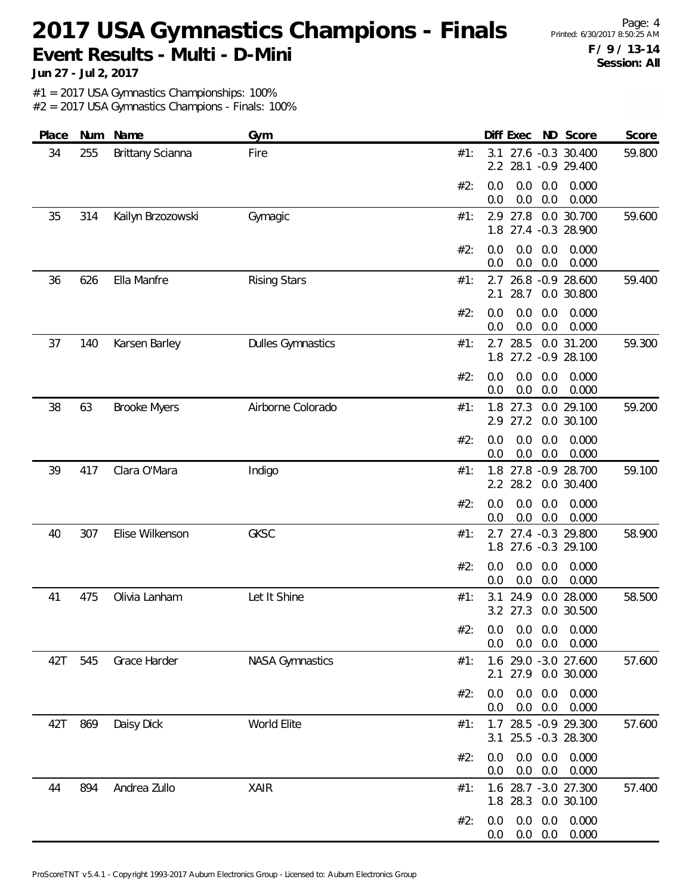Page: 4 **F / 9 / 13-14 Session: All**

**Jun 27 - Jul 2, 2017**

#1 = 2017 USA Gymnastics Championships: 100%

| Place | Num | Name                | Gym                      | Diff Exec<br>ND Score<br>Score                                               |
|-------|-----|---------------------|--------------------------|------------------------------------------------------------------------------|
| 34    | 255 | Brittany Scianna    | Fire                     | 27.6 -0.3 30.400<br>59.800<br>#1:<br>3.1<br>2.2<br>28.1 -0.9 29.400          |
|       |     |                     |                          | 0.0<br>0.0<br>0.0<br>0.000<br>#2:<br>0.0<br>0.0<br>0.0<br>0.000              |
| 35    | 314 | Kailyn Brzozowski   | Gymagic                  | 0.0 30.700<br>27.8<br>59.600<br>#1:<br>2.9<br>1.8 27.4 -0.3 28.900           |
|       |     |                     |                          | 0.0<br>0.0<br>0.000<br>#2:<br>0.0<br>0.0<br>0.0<br>0.000<br>0.0              |
| 36    | 626 | Ella Manfre         | <b>Rising Stars</b>      | 2.7 26.8 -0.9 28.600<br>59.400<br>#1:<br>28.7<br>0.0 30.800<br>2.1           |
|       |     |                     |                          | #2:<br>0.0<br>0.0<br>0.0<br>0.000<br>0.0<br>0.0<br>0.0<br>0.000              |
| 37    | 140 | Karsen Barley       | <b>Dulles Gymnastics</b> | 59.300<br>2.7 28.5<br>0.0 31.200<br>#1:<br>1.8 27.2 -0.9 28.100              |
|       |     |                     |                          | 0.000<br>#2:<br>0.0<br>0.0<br>0.0<br>$0.0\,$<br>0.0<br>0.000<br>0.0          |
| 38    | 63  | <b>Brooke Myers</b> | Airborne Colorado        | 0.0 29.100<br>27.3<br>59.200<br>#1:<br>1.8<br>2.9 27.2<br>0.0 30.100         |
|       |     |                     |                          | 0.0<br>0.0<br>0.000<br>#2:<br>0.0<br>0.0<br>0.0<br>0.0<br>0.000              |
| 39    | 417 | Clara O'Mara        | Indigo                   | 1.8 27.8 -0.9 28.700<br>59.100<br>#1:<br>28.2<br>$2.2^{\circ}$<br>0.0 30.400 |
|       |     |                     |                          | 0.0<br>0.0<br>0.000<br>#2:<br>0.0<br>0.0<br>0.0<br>0.0<br>0.000              |
| 40    | 307 | Elise Wilkenson     | <b>GKSC</b>              | 2.7 27.4 -0.3 29.800<br>58.900<br>#1:<br>1.8 27.6 -0.3 29.100                |
|       |     |                     |                          | 0.000<br>#2:<br>0.0<br>0.0<br>0.0<br>$0.0\,$<br>0.0<br>0.000<br>0.0          |
| 41    | 475 | Olivia Lanham       | Let It Shine             | 0.0 28.000<br>#1:<br>24.9<br>58.500<br>3.1<br>3.2 27.3<br>0.0 30.500         |
|       |     |                     |                          | #2:<br>$0.0$ $0.0$ $0.0$ $0.000$<br>$0.0$ $0.0$ $0.000$<br>$0.0\,$           |
| 42T   | 545 | Grace Harder        | <b>NASA Gymnastics</b>   | 1.6 29.0 -3.0 27.600<br>#1:<br>57.600<br>2.1 27.9 0.0 30.000                 |
|       |     |                     |                          | #2:<br>0.0<br>$0.0\quad 0.0$<br>0.000<br>$0.0\quad 0.0$<br>0.000<br>0.0      |
| 42T   | 869 | Daisy Dick          | World Elite              | 1.7 28.5 -0.9 29.300<br>57.600<br>#1:<br>3.1 25.5 -0.3 28.300                |
|       |     |                     |                          | $0.0\ 0.0$<br>0.000<br>#2:<br>0.0<br>$0.0\quad 0.0$<br>0.000<br>0.0          |
| 44    | 894 | Andrea Zullo        | XAIR                     | 1.6 28.7 -3.0 27.300<br>57.400<br>#1:<br>1.8 28.3 0.0 30.100                 |
|       |     |                     |                          | 0.0<br>0.0<br>0.000<br>#2:<br>0.0<br>$0.0\ 0.0$<br>0.000<br>0.0              |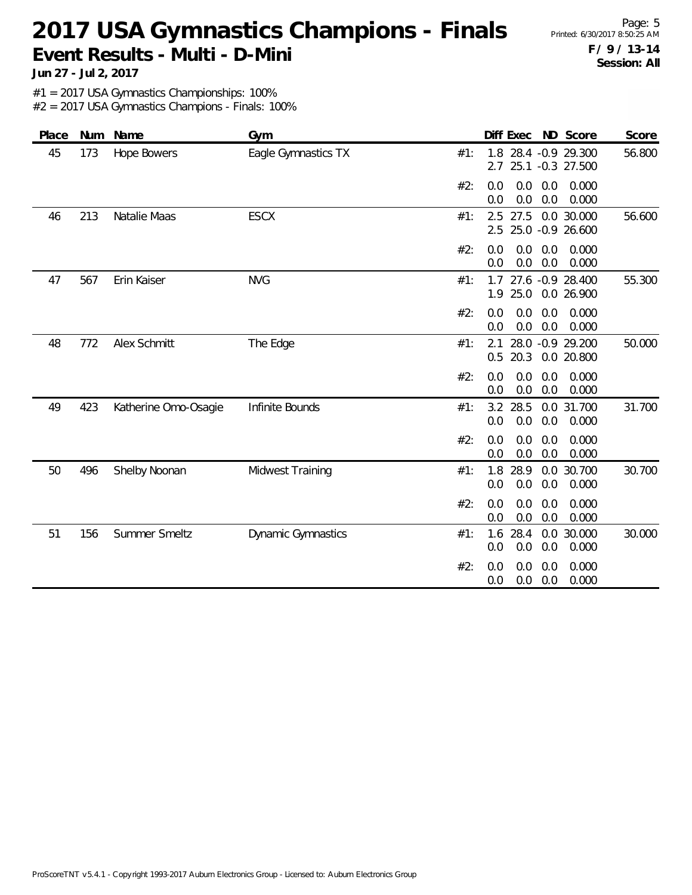Page: 5 **F / 9 / 13-14 Session: All**

**Jun 27 - Jul 2, 2017**

#1 = 2017 USA Gymnastics Championships: 100%

| Place | Num | Name                 | Gym                       |     | ND Score<br>Diff Exec                                      | Score  |
|-------|-----|----------------------|---------------------------|-----|------------------------------------------------------------|--------|
| 45    | 173 | <b>Hope Bowers</b>   | Eagle Gymnastics TX       | #1: | 28.4 - 0.9 29.300<br>1.8<br>25.1 -0.3 27.500<br>2.7        | 56.800 |
|       |     |                      |                           | #2: | 0.0<br>0.0<br>0.0<br>0.000<br>0.0<br>0.0<br>0.0<br>0.000   |        |
| 46    | 213 | Natalie Maas         | <b>ESCX</b>               | #1: | $2.5$ 27.5<br>0.0 30.000<br>2.5<br>25.0 -0.9 26.600        | 56.600 |
|       |     |                      |                           | #2: | 0.0<br>0.0<br>0.0<br>0.000<br>0.0<br>0.0<br>0.000<br>0.0   |        |
| 47    | 567 | Erin Kaiser          | <b>NVG</b>                | #1: | 27.6 -0.9 28.400<br>1.7<br>25.0<br>0.0 26.900<br>1.9       | 55.300 |
|       |     |                      |                           | #2: | 0.0<br>0.0<br>0.0<br>0.000<br>0.0<br>0.0<br>0.000<br>0.0   |        |
| 48    | 772 | Alex Schmitt         | The Edge                  | #1: | 28.0 -0.9 29.200<br>2.1<br>20.3<br>0.0 20.800<br>0.5       | 50.000 |
|       |     |                      |                           | #2: | 0.0<br>0.0<br>0.0<br>0.000<br>0.0<br>0.0<br>0.000<br>0.0   |        |
| 49    | 423 | Katherine Omo-Osagie | Infinite Bounds           | #1: | 28.5<br>0.0 31.700<br>3.2<br>0.0<br>0.0<br>0.0<br>0.000    | 31.700 |
|       |     |                      |                           | #2: | 0.0<br>0.0<br>0.0<br>0.000<br>0.0<br>0.0<br>0.000<br>0.0   |        |
| 50    | 496 | Shelby Noonan        | Midwest Training          | #1: | 28.9<br>0.0 30.700<br>1.8<br>0.0<br>0.0<br>0.0<br>0.000    | 30.700 |
|       |     |                      |                           | #2: | 0.0<br>0.000<br>0.0<br>0.0<br>0.0<br>0.0<br>0.000<br>0.0   |        |
| 51    | 156 | Summer Smeltz        | <b>Dynamic Gymnastics</b> | #1: | 28.4<br>30.000<br>1.6<br>0.0<br>0.0<br>0.0<br>0.0<br>0.000 | 30.000 |
|       |     |                      |                           | #2: | 0.000<br>0.0<br>0.0<br>0.0<br>0.0<br>0.0<br>0.000<br>0.0   |        |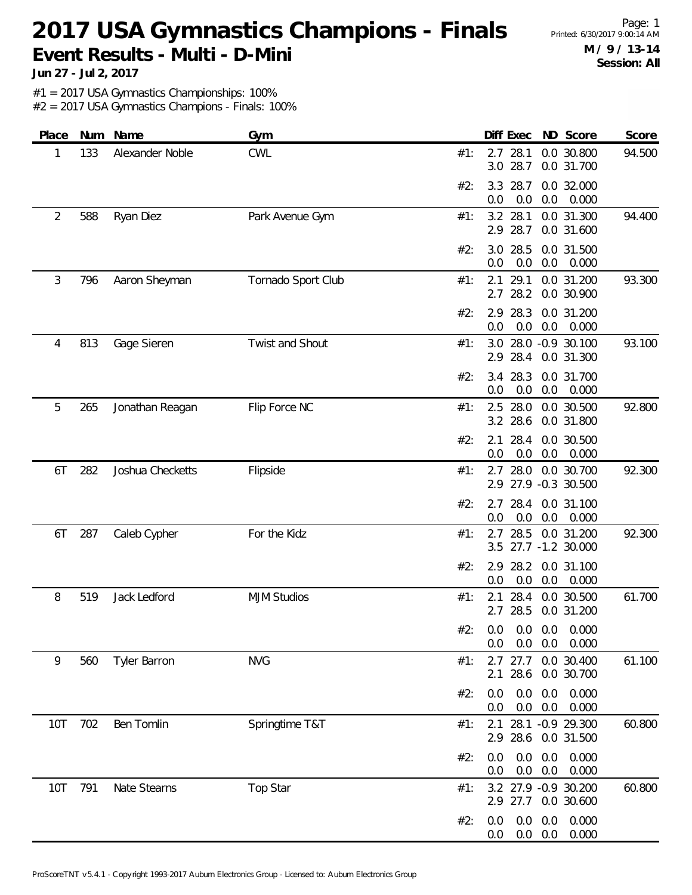Page: 1 **M / 9 / 13-14 Session: All**

**Jun 27 - Jul 2, 2017**

#1 = 2017 USA Gymnastics Championships: 100%

| Place          | Num | Name             | Gym                |                              | Diff Exec            |            | ND Score                                | Score  |
|----------------|-----|------------------|--------------------|------------------------------|----------------------|------------|-----------------------------------------|--------|
| 1              | 133 | Alexander Noble  | <b>CWL</b>         | #1:                          | 2.7 28.1<br>3.0 28.7 |            | 0.0 30.800<br>0.0 31.700                | 94.500 |
|                |     |                  |                    | #2:<br>3.3<br>0.0            | 28.7<br>0.0          | 0.0        | 0.0 32.000<br>0.000                     |        |
| $\overline{2}$ | 588 | Ryan Diez        | Park Avenue Gym    | #1:<br>3.2<br>2.9            | 28.1<br>28.7         |            | 0.0 31.300<br>0.0 31.600                | 94.400 |
|                |     |                  |                    | 3.0<br>#2:<br>0.0            | 28.5<br>0.0          | 0.0        | 0.0 31.500<br>0.000                     |        |
| 3              | 796 | Aaron Sheyman    | Tornado Sport Club | #1:<br>2.1<br>2.7            | 29.1<br>28.2         |            | 0.0 31.200<br>0.0 30.900                | 93.300 |
|                |     |                  |                    | #2:<br>2.9<br>0.0            | 28.3<br>0.0          | 0.0        | 0.0 31.200<br>0.000                     |        |
| 4              | 813 | Gage Sieren      | Twist and Shout    | #1:                          | 2.9 28.4             |            | 3.0 28.0 -0.9 30.100<br>0.0 31.300      | 93.100 |
|                |     |                  |                    | #2:<br>0.0                   | 3.4 28.3<br>0.0      | 0.0        | 0.0 31.700<br>0.000                     |        |
| 5              | 265 | Jonathan Reagan  | Flip Force NC      | #1:                          | 2.5 28.0<br>3.2 28.6 |            | 0.0 30.500<br>0.0 31.800                | 92.800 |
|                |     |                  |                    | #2:<br>2.1<br>0.0            | 28.4<br>0.0          | 0.0        | 0.0 30.500<br>0.000                     |        |
| 6T             | 282 | Joshua Checketts | Flipside           | #1:                          | 2.7 28.0             |            | 0.0 30.700<br>2.9 27.9 -0.3 30.500      | 92.300 |
|                |     |                  |                    | #2:<br>0.0                   | 2.7 28.4<br>0.0      | 0.0        | 0.0 31.100<br>0.000                     |        |
| 6T             | 287 | Caleb Cypher     | For the Kidz       | 2.7<br>#1:                   | 28.5                 |            | 0.0 31.200<br>3.5 27.7 -1.2 30.000      | 92.300 |
|                |     |                  |                    | #2:<br>2.9<br>0.0            | 28.2<br>0.0          | 0.0        | 0.0 31.100<br>0.000                     |        |
| 8              | 519 | Jack Ledford     | <b>MJM Studios</b> | #1:<br>2.1                   | 28.4<br>2.7 28.5     |            | 0.0 30.500<br>0.0 31.200                | 61.700 |
|                |     |                  |                    | #2: 0.0 0.0 0.0 0.000<br>0.0 | $0.0\quad 0.0$       |            | 0.000                                   |        |
| 9              | 560 | Tyler Barron     | <b>NVG</b>         | #1:<br>2.1                   | $2.7$ 27.7<br>28.6   |            | 0.0 30.400<br>0.0 30.700                | 61.100 |
|                |     |                  |                    | #2:<br>0.0<br>0.0            | 0.0<br>0.0           | 0.0<br>0.0 | 0.000<br>0.000                          |        |
| 10T            | 702 | Ben Tomlin       | Springtime T&T     | #1:<br>2.1                   |                      |            | 28.1 -0.9 29.300<br>2.9 28.6 0.0 31.500 | 60.800 |
|                |     |                  |                    | #2:<br>0.0<br>0.0            | 0.0<br>0.0           | 0.0<br>0.0 | 0.000<br>0.000                          |        |
| 10T            | 791 | Nate Stearns     | Top Star           | #1:                          | 2.9 27.7             |            | 3.2 27.9 -0.9 30.200<br>0.0 30.600      | 60.800 |
|                |     |                  |                    | #2:<br>0.0<br>0.0            | 0.0<br>$0.0\ 0.0$    | 0.0        | 0.000<br>0.000                          |        |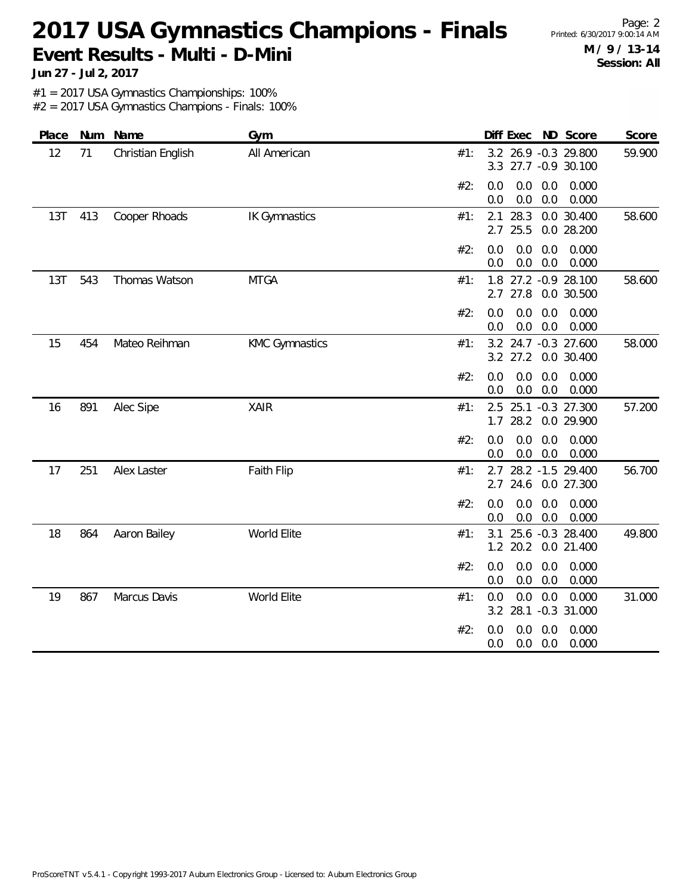Page: 2 **M / 9 / 13-14 Session: All**

**Jun 27 - Jul 2, 2017**

#1 = 2017 USA Gymnastics Championships: 100%

| Place |     | Num Name          | Gym                   | Diff Exec ND Score<br>Score                                             |
|-------|-----|-------------------|-----------------------|-------------------------------------------------------------------------|
| 12    | 71  | Christian English | All American          | 3.2 26.9 -0.3 29.800<br>59.900<br>#1:<br>3.3 27.7 -0.9 30.100           |
|       |     |                   |                       | 0.0<br>0.0<br>0.0<br>0.000<br>#2:<br>$0.0\,$<br>0.0<br>0.0<br>0.000     |
| 13T   | 413 | Cooper Rhoads     | <b>IK Gymnastics</b>  | 28.3<br>0.0 30.400<br>2.1<br>58.600<br>#1:<br>2.7<br>25.5<br>0.0 28.200 |
|       |     |                   |                       | 0.0<br>0.0<br>#2:<br>0.0<br>0.000<br>0.0<br>0.0<br>0.0<br>0.000         |
| 13T   | 543 | Thomas Watson     | <b>MTGA</b>           | 1.8 27.2 -0.9 28.100<br>#1:<br>58.600<br>2.7 27.8<br>0.0 30.500         |
|       |     |                   |                       | 0.0<br>0.0<br>#2:<br>0.0<br>0.000<br>0.0<br>0.000<br>0.0<br>0.0         |
| 15    | 454 | Mateo Reihman     | <b>KMC Gymnastics</b> | 3.2 24.7 -0.3 27.600<br>58.000<br>#1:<br>3.2 27.2<br>0.0 30.400         |
|       |     |                   |                       | #2:<br>0.0<br>0.0<br>0.0<br>0.000<br>0.0<br>0.0<br>$0.0\,$<br>0.000     |
| 16    | 891 | Alec Sipe         | <b>XAIR</b>           | 2.5 25.1 -0.3 27.300<br>57.200<br>#1:<br>$1.7$ 28.2<br>0.0 29.900       |
|       |     |                   |                       | 0.0<br>0.0<br>0.000<br>#2:<br>0.0<br>0.0<br>0.0<br>0.0<br>0.000         |
| 17    | 251 | Alex Laster       | Faith Flip            | 56.700<br>28.2 -1.5 29.400<br>#1:<br>2.7<br>$2.7$ 24.6<br>0.0 27.300    |
|       |     |                   |                       | 0.0<br>0.000<br>#2:<br>0.0<br>0.0<br>0.0<br>0.0<br>0.000<br>0.0         |
| 18    | 864 | Aaron Bailey      | World Elite           | 25.6 -0.3 28.400<br>3.1<br>49.800<br>#1:<br>1.2 20.2<br>0.0 21.400      |
|       |     |                   |                       | 0.0<br>0.0<br>0.0<br>#2:<br>0.000<br>0.0<br>0.0<br>0.0<br>0.000         |
| 19    | 867 | Marcus Davis      | World Elite           | 0.0<br>0.0<br>0.0<br>0.000<br>31.000<br>#1:<br>3.2 28.1 -0.3 31.000     |
|       |     |                   |                       | 0.0<br>0.0<br>0.000<br>#2:<br>0.0<br>0.0<br>0.0<br>0.000<br>0.0         |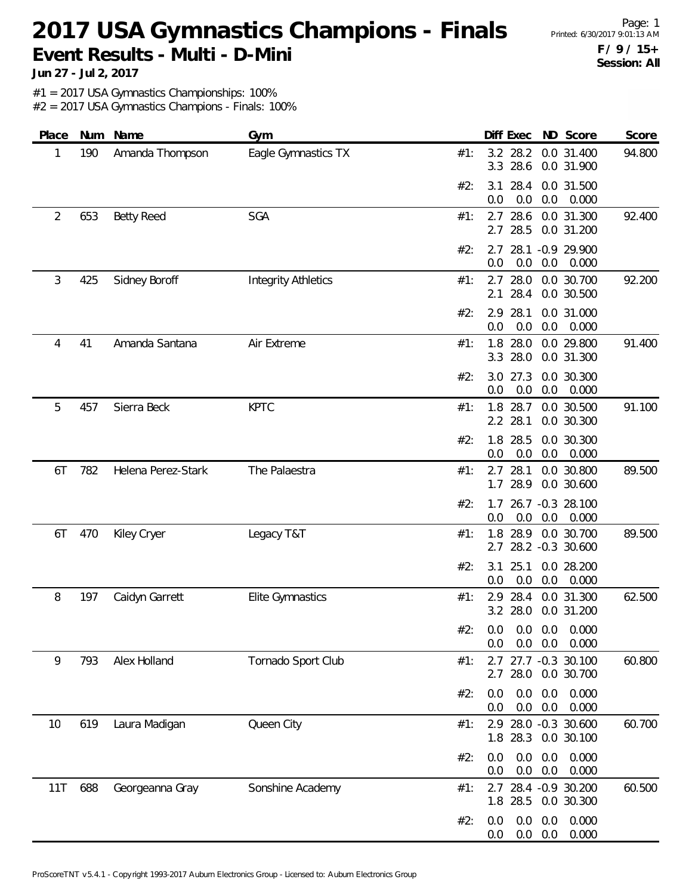Page: 1 **F / 9 / 15+ Session: All**

**Jun 27 - Jul 2, 2017**

#1 = 2017 USA Gymnastics Championships: 100%

| Place | Num | Name               | Gym                        | Diff Exec ND Score<br>Score                                             |
|-------|-----|--------------------|----------------------------|-------------------------------------------------------------------------|
| 1     | 190 | Amanda Thompson    | Eagle Gymnastics TX        | 3.2 28.2<br>0.0 31.400<br>94.800<br>#1:<br>3.3 28.6<br>0.0 31.900       |
|       |     |                    |                            | #2:<br>28.4<br>0.0 31.500<br>3.1<br>0.0<br>0.0<br>0.0<br>0.000          |
| 2     | 653 | <b>Betty Reed</b>  | SGA                        | 28.6<br>0.0 31.300<br>#1:<br>2.7<br>92.400<br>28.5<br>2.7<br>0.0 31.200 |
|       |     |                    |                            | 2.7 28.1 -0.9 29.900<br>#2:<br>0.0<br>0.0<br>0.0<br>0.000               |
| 3     | 425 | Sidney Boroff      | <b>Integrity Athletics</b> | 92.200<br>$2.7$ 28.0<br>0.0 30.700<br>#1:<br>28.4<br>2.1<br>0.0 30.500  |
|       |     |                    |                            | 28.1<br>0.0 31.000<br>#2:<br>2.9<br>0.0<br>0.0<br>0.0<br>0.000          |
| 4     | 41  | Amanda Santana     | Air Extreme                | 1.8 28.0<br>0.0 29.800<br>91.400<br>#1:<br>3.3 28.0<br>0.0 31.300       |
|       |     |                    |                            | #2:<br>3.0 27.3<br>0.0 30.300<br>0.0<br>0.0<br>0.0<br>0.000             |
| 5     | 457 | Sierra Beck        | <b>KPTC</b>                | 1.8 28.7<br>0.0 30.500<br>91.100<br>#1:<br>2.2 28.1<br>0.0 30.300       |
|       |     |                    |                            | 28.5<br>0.0 30.300<br>#2:<br>1.8<br>0.0<br>0.0<br>0.0<br>0.000          |
| 6T    | 782 | Helena Perez-Stark | The Palaestra              | $2.7$ 28.1<br>0.0 30.800<br>89.500<br>#1:<br>28.9<br>1.7<br>0.0 30.600  |
|       |     |                    |                            | 26.7 -0.3 28.100<br>#2:<br>1.7<br>0.0<br>0.0<br>0.0<br>0.000            |
| 6T    | 470 | Kiley Cryer        | Legacy T&T                 | 1.8 28.9<br>89.500<br>0.0 30.700<br>#1:<br>2.7 28.2 -0.3 30.600         |
|       |     |                    |                            | #2:<br>3.1<br>25.1<br>0.0 28.200<br>0.0<br>0.0<br>0.0<br>0.000          |
| 8     | 197 | Caidyn Garrett     | <b>Elite Gymnastics</b>    | 2.9<br>28.4<br>0.0 31.300<br>62.500<br>#1:<br>3.2 28.0<br>0.0 31.200    |
|       |     |                    |                            | #2: 0.0 0.0 0.0 0.000<br>0.0<br>$0.0\quad 0.0$<br>0.000                 |
| 9     | 793 | Alex Holland       | Tornado Sport Club         | 2.7 27.7 -0.3 30.100<br>60.800<br>#1:<br>2.7 28.0 0.0 30.700            |
|       |     |                    |                            | 0.0<br>0.000<br>0.0<br>0.0<br>#2:<br>0.0<br>0.0<br>0.000<br>0.0         |
| 10    | 619 | Laura Madigan      | Queen City                 | 2.9 28.0 -0.3 30.600<br>60.700<br>#1:<br>1.8 28.3<br>0.0 30.100         |
|       |     |                    |                            | 0.0<br>0.000<br>#2:<br>0.0<br>0.0<br>0.0<br>0.0<br>0.0<br>0.000         |
| 11T   | 688 | Georgeanna Gray    | Sonshine Academy           | 60.500<br>2.7 28.4 -0.9 30.200<br>#1:<br>1.8 28.5<br>0.0 30.300         |
|       |     |                    |                            | 0.0<br>0.000<br>#2:<br>0.0<br>0.0<br>$0.0\ 0.0$<br>0.000<br>0.0         |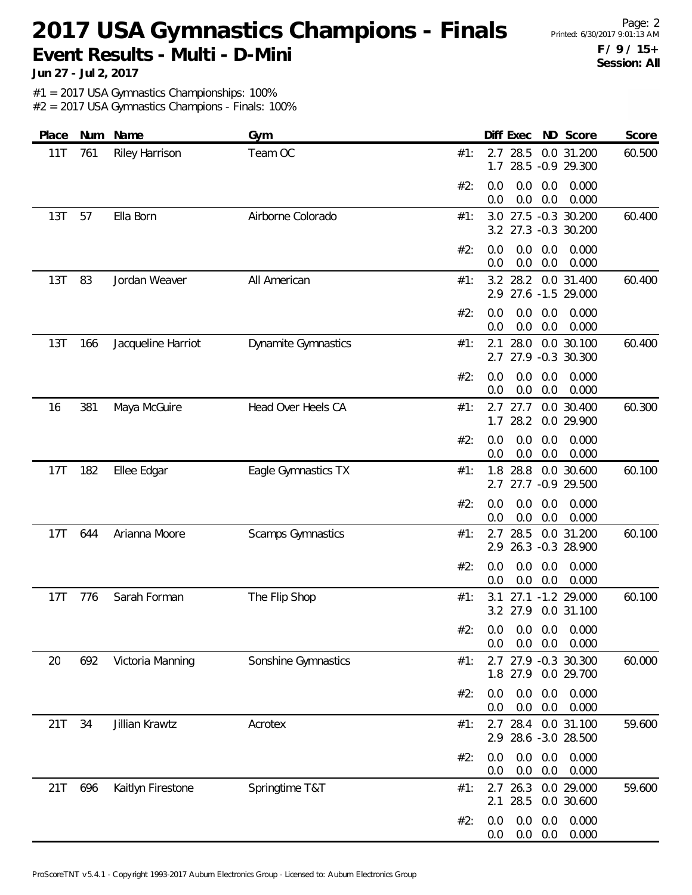Page: 2 **F / 9 / 15+ Session: All**

**Jun 27 - Jul 2, 2017**

#1 = 2017 USA Gymnastics Championships: 100%

| Place | Num | Name               | Gym                        | ND Score<br>Diff Exec<br>Score                                         |
|-------|-----|--------------------|----------------------------|------------------------------------------------------------------------|
| 11T   | 761 | Riley Harrison     | Team OC                    | 2.7<br>28.5<br>0.0 31.200<br>60.500<br>#1:<br>28.5 -0.9 29.300<br>1.7  |
|       |     |                    |                            | 0.000<br>#2:<br>0.0<br>0.0<br>0.0<br>0.0<br>0.0<br>0.000<br>0.0        |
| 13T   | 57  | Ella Born          | Airborne Colorado          | 27.5 -0.3 30.200<br>#1:<br>60.400<br>3.0<br>3.2 27.3 -0.3 30.200       |
|       |     |                    |                            | #2:<br>0.0<br>0.0<br>0.0<br>0.000<br>0.000<br>0.0<br>0.0<br>0.0        |
| 13T   | 83  | Jordan Weaver      | All American               | 0.0 31.400<br>28.2<br>60.400<br>#1:<br>3.2<br>27.6 -1.5 29.000<br>2.9  |
|       |     |                    |                            | 0.0<br>#2:<br>0.0<br>0.0<br>0.000<br>0.0<br>0.0<br>0.000<br>0.0        |
| 13T   | 166 | Jacqueline Harriot | <b>Dynamite Gymnastics</b> | 28.0<br>0.0 30.100<br>60.400<br>#1:<br>2.1<br>2.7 27.9 -0.3 30.300     |
|       |     |                    |                            | #2:<br>0.0<br>0.0<br>0.0<br>0.000<br>0.0<br>0.0<br>0.000<br>0.0        |
| 16    | 381 | Maya McGuire       | Head Over Heels CA         | 0.0 30.400<br>$2.7$ 27.7<br>60.300<br>#1:<br>28.2<br>0.0 29.900<br>1.7 |
|       |     |                    |                            | #2:<br>0.000<br>0.0<br>0.0<br>0.0<br>0.0<br>0.0<br>0.000<br>0.0        |
| 17T   | 182 | Ellee Edgar        | Eagle Gymnastics TX        | 0.0 30.600<br>60.100<br>28.8<br>#1:<br>1.8<br>27.7 -0.9 29.500<br>2.7  |
|       |     |                    |                            | 0.0<br>0.0<br>0.0<br>0.000<br>#2:<br>0.0<br>0.0<br>0.000<br>0.0        |
| 17T   | 644 | Arianna Moore      | Scamps Gymnastics          | 28.5<br>60.100<br>2.7<br>0.0 31.200<br>#1:<br>2.9 26.3 -0.3 28.900     |
|       |     |                    |                            | #2:<br>0.0<br>0.0<br>0.0<br>0.000<br>0.0<br>0.0<br>0.000<br>0.0        |
| 17T   | 776 | Sarah Forman       | The Flip Shop              | 27.1 -1.2 29.000<br>60.100<br>#1:<br>3.1<br>3.2 27.9 0.0 31.100        |
|       |     |                    |                            | #2: 0.0 0.0 0.0 0.000<br>$0.0\quad 0.0$<br>0.000<br>0.0                |
| 20    | 692 | Victoria Manning   | Sonshine Gymnastics        | 2.7 27.9 -0.3 30.300<br>60.000<br>#1:<br>1.8 27.9 0.0 29.700           |
|       |     |                    |                            | 0.000<br>#2:<br>0.0<br>0.0<br>0.0<br>0.0<br>0.0<br>0.000<br>0.0        |
| 21T   | 34  | Jillian Krawtz     | Acrotex                    | 28.4<br>0.0 31.100<br>59.600<br>#1:<br>2.7<br>2.9 28.6 -3.0 28.500     |
|       |     |                    |                            | 0.0<br>0.0<br>0.000<br>#2:<br>0.0<br>0.0<br>0.0<br>0.000<br>0.0        |
| 21T   | 696 | Kaitlyn Firestone  | Springtime T&T             | 2.7 26.3 0.0 29.000<br>59.600<br>#1:<br>28.5<br>0.0 30.600<br>2.1      |
|       |     |                    |                            | 0.0<br>0.000<br>#2:<br>0.0<br>0.0<br>$0.0\ 0.0$<br>0.000<br>0.0        |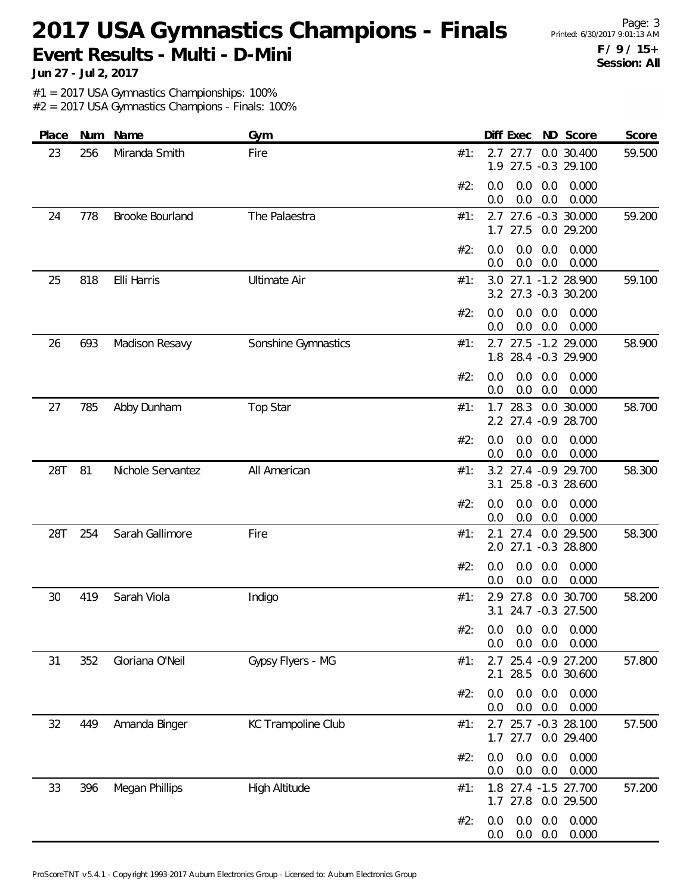Page: 3 **F / 9 / 15+ Session: All**

**Jun 27 - Jul 2, 2017**

#1 = 2017 USA Gymnastics Championships: 100%

| Place | Num | Name              | Gym                  | Diff Exec<br>ND Score<br>Score                                       |
|-------|-----|-------------------|----------------------|----------------------------------------------------------------------|
| 23    | 256 | Miranda Smith     | Fire                 | 0.0 30.400<br>59.500<br>#1:<br>$2.7$ 27.7<br>27.5 -0.3 29.100<br>1.9 |
|       |     |                   |                      | 0.0<br>0.000<br>#2:<br>0.0<br>0.0<br>0.0<br>0.0<br>0.000<br>0.0      |
| 24    | 778 | Brooke Bourland   | The Palaestra        | 27.6 -0.3 30.000<br>59.200<br>#1:<br>2.7<br>$1.7$ 27.5<br>0.0 29.200 |
|       |     |                   |                      | 0.0<br>0.0<br>0.000<br>#2:<br>0.0<br>0.0<br>0.000<br>0.0<br>0.0      |
| 25    | 818 | Elli Harris       | <b>Ultimate Air</b>  | 3.0 27.1 -1.2 28.900<br>59.100<br>#1:<br>3.2 27.3 -0.3 30.200        |
|       |     |                   |                      | #2:<br>0.0<br>0.0<br>0.000<br>0.0<br>0.0<br>0.0<br>0.000<br>0.0      |
| 26    | 693 | Madison Resavy    | Sonshine Gymnastics  | 2.7 27.5 -1.2 29.000<br>58.900<br>#1:<br>1.8 28.4 -0.3 29.900        |
|       |     |                   |                      | 0.000<br>#2:<br>0.0<br>0.0<br>0.0<br>$0.0\,$<br>0.0<br>0.0<br>0.000  |
| 27    | 785 | Abby Dunham       | Top Star             | 0.0 30.000<br>28.3<br>58.700<br>#1:<br>1.7<br>2.2 27.4 -0.9 28.700   |
|       |     |                   |                      | 0.0<br>0.0<br>0.000<br>#2:<br>0.0<br>0.0<br>0.0<br>0.000<br>0.0      |
| 28T   | 81  | Nichole Servantez | All American         | 3.2 27.4 -0.9 29.700<br>58.300<br>#1:<br>25.8 -0.3 28.600<br>3.1     |
|       |     |                   |                      | 0.0<br>0.0<br>0.000<br>#2:<br>0.0<br>0.0<br>0.0<br>0.000<br>0.0      |
| 28T   | 254 | Sarah Gallimore   | Fire                 | $2.1$ 27.4<br>0.0 29.500<br>58.300<br>#1:<br>2.0 27.1 -0.3 28.800    |
|       |     |                   |                      | #2:<br>0.0<br>0.0<br>0.0<br>0.000<br>$0.0\,$<br>0.0<br>0.000<br>0.0  |
| 30    | 419 | Sarah Viola       | Indigo               | 0.0 30.700<br>#1:<br>27.8<br>58.200<br>2.9<br>3.1 24.7 -0.3 27.500   |
|       |     |                   |                      | #2:<br>$0.0$ $0.0$ $0.0$ $0.000$<br>$0.0$ $0.0$ $0.000$<br>0.0       |
| 31    | 352 | Gloriana O'Neil   | Gypsy Flyers - MG    | 2.7 25.4 -0.9 27.200<br>#1:<br>57.800<br>2.1 28.5 0.0 30.600         |
|       |     |                   |                      | #2:<br>0.0<br>0.0<br>0.0<br>0.000<br>0.0<br>0.0<br>0.000<br>0.0      |
| 32    | 449 | Amanda Binger     | KC Trampoline Club   | 2.7 25.7 -0.3 28.100<br>57.500<br>#1:<br>1.7 27.7 0.0 29.400         |
|       |     |                   |                      | 0.0<br>0.0<br>0.000<br>#2:<br>0.0<br>0.000<br>0.0<br>0.0<br>0.0      |
| 33    | 396 | Megan Phillips    | <b>High Altitude</b> | 57.200<br>1.8 27.4 -1.5 27.700<br>#1:<br>1.7 27.8 0.0 29.500         |
|       |     |                   |                      | 0.000<br>0.0<br>0.0<br>#2:<br>0.0<br>$0.0\ 0.0$<br>0.000<br>0.0      |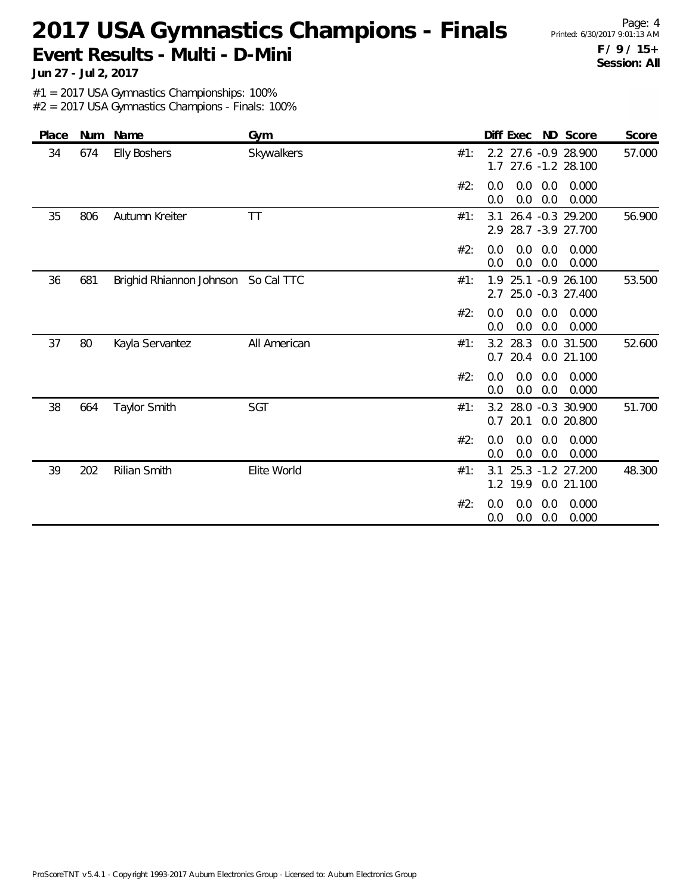Page: 4 **F / 9 / 15+ Session: All**

**Jun 27 - Jul 2, 2017**

#1 = 2017 USA Gymnastics Championships: 100%

| Place |     | Num Name                 | Gym          |     | Diff Exec ND Score                                       | Score  |
|-------|-----|--------------------------|--------------|-----|----------------------------------------------------------|--------|
| 34    | 674 | <b>Elly Boshers</b>      | Skywalkers   | #1: | 2.2 27.6 -0.9 28.900<br>1.7 27.6 -1.2 28.100             | 57.000 |
|       |     |                          |              | #2: | 0.0<br>0.0<br>0.0<br>0.000<br>0.0<br>0.0<br>0.000<br>0.0 |        |
| 35    | 806 | Autumn Kreiter           | TT           | #1: | 3.1 26.4 -0.3 29.200<br>28.7 -3.9 27.700<br>2.9          | 56.900 |
|       |     |                          |              | #2: | 0.0<br>0.0<br>0.000<br>0.0<br>0.0<br>0.0<br>0.0<br>0.000 |        |
| 36    | 681 | Brighid Rhiannon Johnson | So Cal TTC   | #1: | 25.1 -0.9 26.100<br>1.9<br>25.0 -0.3 27.400<br>2.7       | 53.500 |
|       |     |                          |              | #2: | 0.0<br>0.0<br>0.000<br>0.0<br>0.0<br>0.0<br>0.000<br>0.0 |        |
| 37    | 80  | Kayla Servantez          | All American | #1: | 3.2 28.3<br>0.0 31.500<br>$0.7$ 20.4<br>0.0 21.100       | 52.600 |
|       |     |                          |              | #2: | 0.0<br>0.0<br>0.0<br>0.000<br>0.0<br>0.0<br>0.000<br>0.0 |        |
| 38    | 664 | Taylor Smith             | SGT          | #1: | 3.2 28.0 -0.3 30.900<br>$0.7$ 20.1<br>0.0 20.800         | 51.700 |
|       |     |                          |              | #2: | 0.0<br>0.0<br>0.0<br>0.000<br>0.0<br>0.0<br>0.0<br>0.000 |        |
| 39    | 202 | <b>Rilian Smith</b>      | Elite World  | #1: | 25.3 -1.2 27.200<br>3.1<br>1.2 19.9<br>0.0 21.100        | 48.300 |
|       |     |                          |              | #2: | 0.0<br>0.0<br>0.000<br>0.0<br>0.0<br>0.0<br>0.000<br>0.0 |        |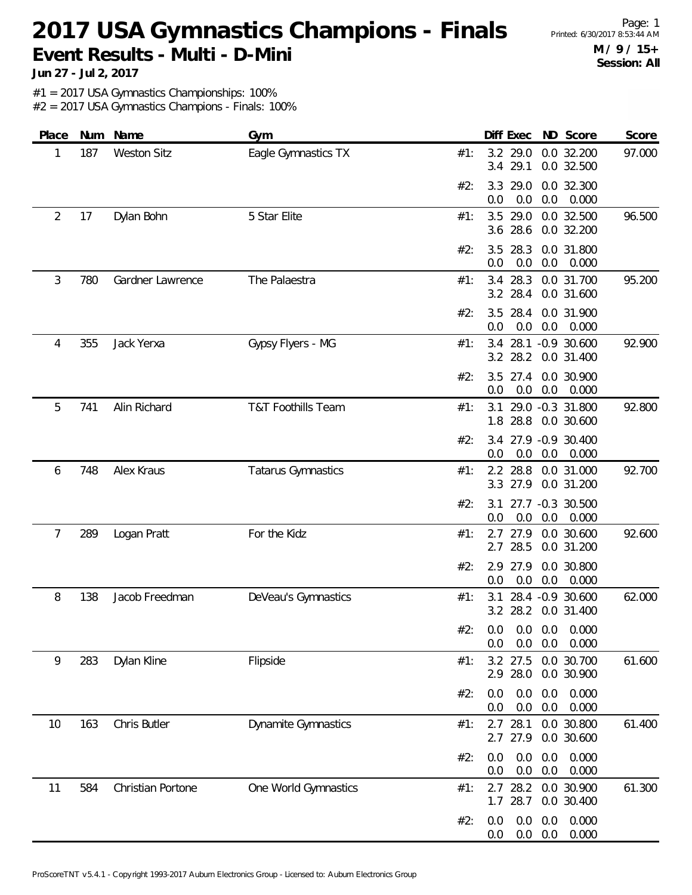**Jun 27 - Jul 2, 2017**

#1 = 2017 USA Gymnastics Championships: 100%

| Place | Num | Name               | Gym                           |                   | Diff Exec            | ND Score                                | Score  |
|-------|-----|--------------------|-------------------------------|-------------------|----------------------|-----------------------------------------|--------|
| 1     | 187 | <b>Weston Sitz</b> | Eagle Gymnastics TX           | #1:<br>3.4        | 3.2 29.0<br>29.1     | 0.0 32.200<br>0.0 32.500                | 97.000 |
|       |     |                    |                               | #2:<br>3.3<br>0.0 | 29.0<br>0.0          | 0.0 32.300<br>0.0<br>0.000              |        |
| 2     | 17  | Dylan Bohn         | 5 Star Elite                  | #1:<br>3.5<br>3.6 | 29.0<br>28.6         | 0.0 32.500<br>0.0 32.200                | 96.500 |
|       |     |                    |                               | 3.5<br>#2:<br>0.0 | 28.3<br>0.0          | 0.0 31.800<br>0.0<br>0.000              |        |
| 3     | 780 | Gardner Lawrence   | The Palaestra                 | #1:               | 3.4 28.3<br>3.2 28.4 | 0.0 31.700<br>0.0 31.600                | 95.200 |
|       |     |                    |                               | #2:<br>3.5<br>0.0 | 28.4<br>0.0          | 0.0 31.900<br>0.0<br>0.000              |        |
| 4     | 355 | Jack Yerxa         | Gypsy Flyers - MG             | #1:               | 3.2 28.2             | 3.4 28.1 -0.9 30.600<br>0.0 31.400      | 92.900 |
|       |     |                    |                               | #2:<br>3.5<br>0.0 | 27.4<br>0.0          | 0.0 30.900<br>0.0<br>0.000              |        |
| 5     | 741 | Alin Richard       | <b>T&amp;T Foothills Team</b> | #1:               | 3.1<br>1.8 28.8      | 29.0 -0.3 31.800<br>0.0 30.600          | 92.800 |
|       |     |                    |                               | #2:<br>0.0        | 0.0                  | 3.4 27.9 -0.9 30.400<br>0.0<br>0.000    |        |
| 6     | 748 | Alex Kraus         | Tatarus Gymnastics            | #1:               | 2.2 28.8<br>3.3 27.9 | 0.0 31.000<br>0.0 31.200                | 92.700 |
|       |     |                    |                               | #2:<br>3.1<br>0.0 | 0.0                  | 27.7 -0.3 30.500<br>0.0<br>0.000        |        |
| 7     | 289 | Logan Pratt        | For the Kidz                  | 2.7<br>#1:<br>2.7 | 27.9<br>28.5         | 0.0 30.600<br>0.0 31.200                | 92.600 |
|       |     |                    |                               | #2:<br>2.9<br>0.0 | 27.9<br>0.0          | 0.0 30.800<br>0.000<br>0.0              |        |
| 8     | 138 | Jacob Freedman     | DeVeau's Gymnastics           | 3.1<br>#1:        | 3.2 28.2             | 28.4 -0.9 30.600<br>0.0 31.400          | 62.000 |
|       |     |                    |                               | #2:<br>0.0<br>0.0 | 0.0                  | $0.0\quad 0.0$<br>0.000<br>0.0<br>0.000 |        |
| 9     | 283 | Dylan Kline        | Flipside                      | #1:<br>2.9        | 3.2<br>27.5<br>28.0  | 0.0 30.700<br>0.0 30.900                | 61.600 |
|       |     |                    |                               | #2:<br>0.0<br>0.0 | 0.0<br>0.0           | 0.000<br>0.0<br>0.000<br>0.0            |        |
| 10    | 163 | Chris Butler       | Dynamite Gymnastics           | 2.7<br>#1:<br>2.7 | 28.1<br>27.9         | 0.0 30.800<br>0.0 30.600                | 61.400 |
|       |     |                    |                               | 0.0<br>#2:<br>0.0 | 0.0<br>0.0           | 0.0<br>0.000<br>$0.0\,$<br>0.000        |        |
| 11    | 584 | Christian Portone  | One World Gymnastics          | #1:<br>1.7        | $2.7$ 28.2<br>28.7   | 0.0 30.900<br>0.0 30.400                | 61.300 |
|       |     |                    |                               | #2:<br>0.0<br>0.0 | 0.0<br>0.0           | 0.000<br>0.0<br>0.0<br>0.000            |        |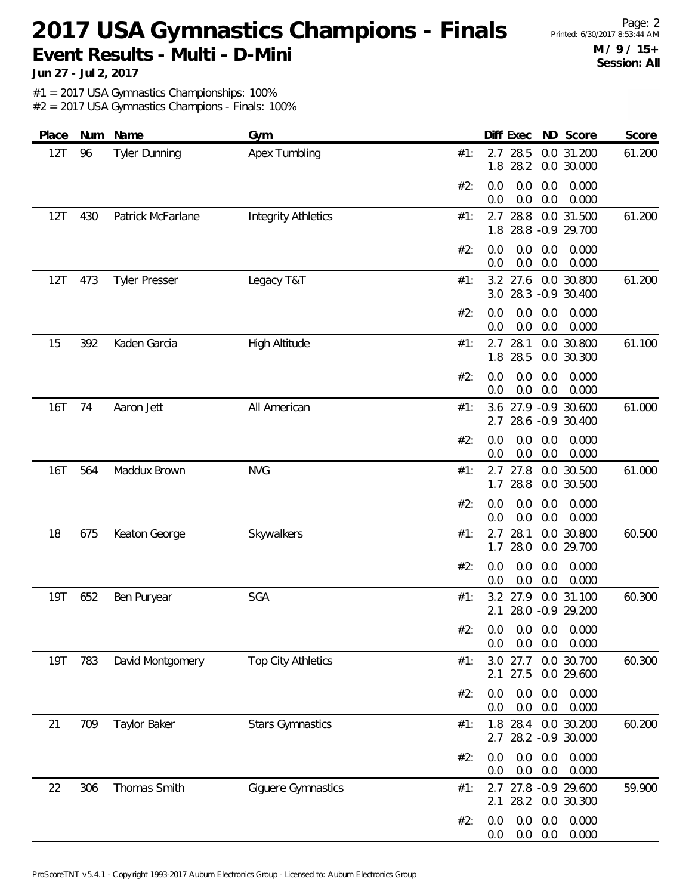**Jun 27 - Jul 2, 2017**

#1 = 2017 USA Gymnastics Championships: 100%

| Place      |     | Num Name             | Gym                        |     |            | Diff Exec        |            | ND Score                             | Score  |
|------------|-----|----------------------|----------------------------|-----|------------|------------------|------------|--------------------------------------|--------|
| 12T        | 96  | Tyler Dunning        | <b>Apex Tumbling</b>       | #1: | 1.8        | 2.7 28.5<br>28.2 |            | 0.0 31.200<br>0.0 30.000             | 61.200 |
|            |     |                      |                            | #2: | 0.0<br>0.0 | 0.0<br>0.0       | 0.0<br>0.0 | 0.000<br>0.000                       |        |
| 12T        | 430 | Patrick McFarlane    | <b>Integrity Athletics</b> | #1: | 2.7<br>1.8 | 28.8             |            | 0.0 31.500<br>28.8 - 0.9 29.700      | 61.200 |
|            |     |                      |                            | #2: | 0.0<br>0.0 | 0.0<br>0.0       | 0.0<br>0.0 | 0.000<br>0.000                       |        |
| 12T        | 473 | <b>Tyler Presser</b> | Legacy T&T                 | #1: | 3.0        | 3.2 27.6         |            | 0.0 30.800<br>28.3 -0.9 30.400       | 61.200 |
|            |     |                      |                            | #2: | 0.0<br>0.0 | 0.0<br>0.0       | 0.0<br>0.0 | 0.000<br>0.000                       |        |
| 15         | 392 | Kaden Garcia         | High Altitude              | #1: | 2.7<br>1.8 | 28.1<br>28.5     | 0.0        | 30.800<br>0.0 30.300                 | 61.100 |
|            |     |                      |                            | #2: | 0.0<br>0.0 | 0.0<br>0.0       | 0.0<br>0.0 | 0.000<br>0.000                       |        |
| <b>16T</b> | 74  | Aaron Jett           | All American               | #1: | 3.6<br>2.7 |                  |            | 27.9 -0.9 30.600<br>28.6 -0.9 30.400 | 61.000 |
|            |     |                      |                            | #2: | 0.0<br>0.0 | 0.0<br>0.0       | 0.0<br>0.0 | 0.000<br>0.000                       |        |
| 16T        | 564 | Maddux Brown         | <b>NVG</b>                 | #1: | 1.7        | 2.7 27.8<br>28.8 |            | 0.0 30.500<br>0.0 30.500             | 61.000 |
|            |     |                      |                            | #2: | 0.0<br>0.0 | 0.0<br>0.0       | 0.0<br>0.0 | 0.000<br>0.000                       |        |
| 18         | 675 | Keaton George        | Skywalkers                 | #1: | 2.7<br>1.7 | 28.1<br>28.0     | 0.0        | 30.800<br>0.0 29.700                 | 60.500 |
|            |     |                      |                            | #2: | 0.0<br>0.0 | 0.0<br>0.0       | 0.0<br>0.0 | 0.000<br>0.000                       |        |
| 19T        | 652 | Ben Puryear          | SGA                        | #1: | 2.1        | 3.2 27.9         |            | 0.0 31.100<br>28.0 -0.9 29.200       | 60.300 |
|            |     |                      |                            | #2: | 0.0<br>0.0 | 0.0<br>0.0       | 0.0<br>0.0 | 0.000<br>0.000                       |        |
| <b>19T</b> | 783 | David Montgomery     | <b>Top City Athletics</b>  | #1: | 3.0<br>2.1 | 27.7<br>27.5     |            | 0.0 30.700<br>0.0 29.600             | 60.300 |
|            |     |                      |                            | #2: | 0.0<br>0.0 | 0.0<br>0.0       | 0.0<br>0.0 | 0.000<br>0.000                       |        |
| 21         | 709 | Taylor Baker         | <b>Stars Gymnastics</b>    | #1: | 1.8<br>2.7 | 28.4             |            | 0.0 30.200<br>28.2 -0.9 30.000       | 60.200 |
|            |     |                      |                            | #2: | 0.0<br>0.0 | 0.0<br>0.0       | 0.0<br>0.0 | 0.000<br>0.000                       |        |
| 22         | 306 | Thomas Smith         | Giguere Gymnastics         | #1: | 2.7<br>2.1 | 28.2             |            | 27.8 -0.9 29.600<br>0.0 30.300       | 59.900 |
|            |     |                      |                            | #2: | 0.0<br>0.0 | 0.0<br>0.0       | 0.0<br>0.0 | 0.000<br>0.000                       |        |